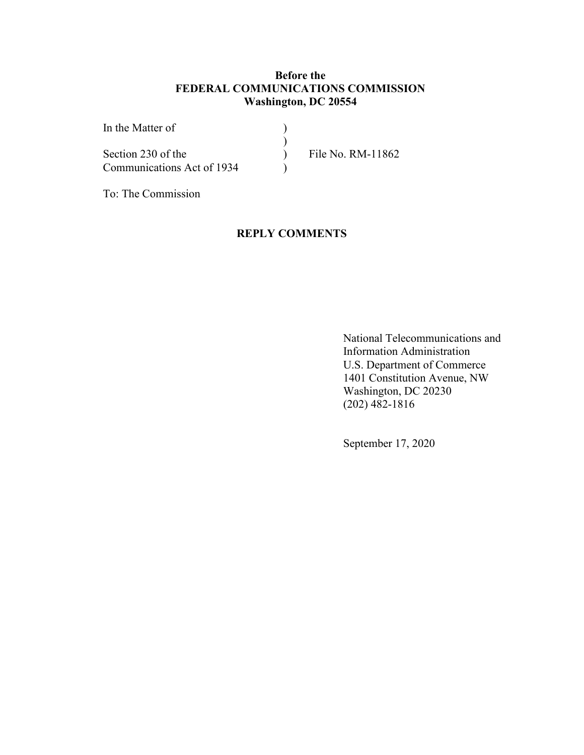#### **Before the FEDERAL COMMUNICATIONS COMMISSION Washington, DC 20554**

| In the Matter of           |                   |
|----------------------------|-------------------|
|                            |                   |
| Section 230 of the         | File No. RM-11862 |
| Communications Act of 1934 |                   |

To: The Commission

#### **REPLY COMMENTS**

National Telecommunications and Information Administration U.S. Department of Commerce 1401 Constitution Avenue, NW Washington, DC 20230 (202) 482-1816

September 17, 2020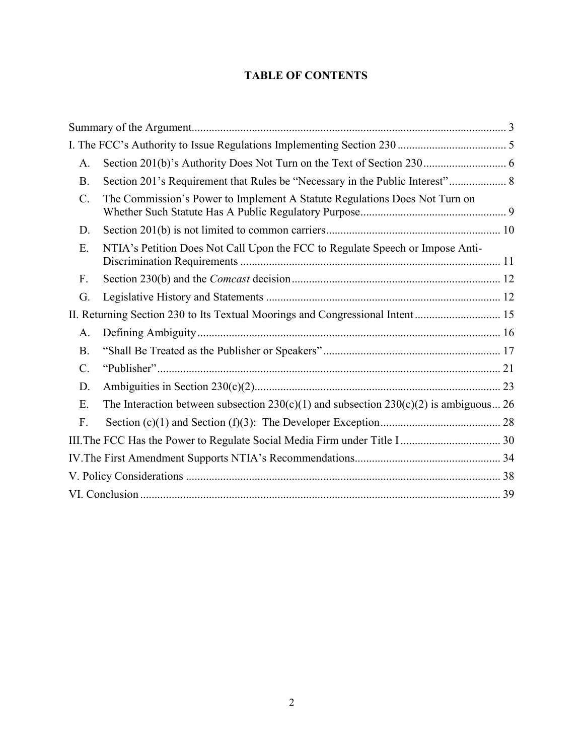### **TABLE OF CONTENTS**

| A.              |                                                                                           |  |
|-----------------|-------------------------------------------------------------------------------------------|--|
| <b>B.</b>       | Section 201's Requirement that Rules be "Necessary in the Public Interest" 8              |  |
| $\mathcal{C}$ . | The Commission's Power to Implement A Statute Regulations Does Not Turn on                |  |
| D.              |                                                                                           |  |
| E.              | NTIA's Petition Does Not Call Upon the FCC to Regulate Speech or Impose Anti-             |  |
| F.              |                                                                                           |  |
| G.              |                                                                                           |  |
|                 | II. Returning Section 230 to Its Textual Moorings and Congressional Intent 15             |  |
| A.              |                                                                                           |  |
| <b>B.</b>       |                                                                                           |  |
| $\mathcal{C}$ . |                                                                                           |  |
| D.              |                                                                                           |  |
| E.              | The Interaction between subsection $230(c)(1)$ and subsection $230(c)(2)$ is ambiguous 26 |  |
| F.              |                                                                                           |  |
|                 |                                                                                           |  |
|                 |                                                                                           |  |
|                 |                                                                                           |  |
|                 |                                                                                           |  |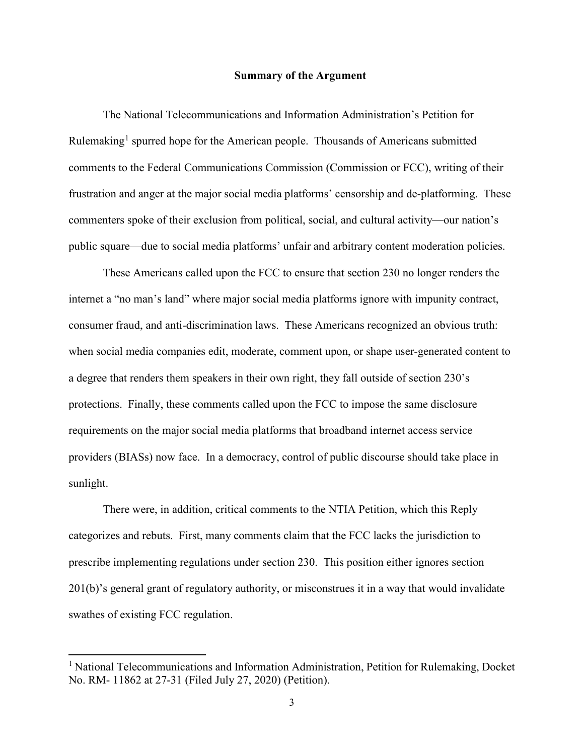#### **Summary of the Argument**

The National Telecommunications and Information Administration's Petition for Rulemaking<sup>1</sup> spurred hope for the American people. Thousands of Americans submitted comments to the Federal Communications Commission (Commission or FCC), writing of their frustration and anger at the major social media platforms' censorship and de-platforming. These commenters spoke of their exclusion from political, social, and cultural activity—our nation's public square—due to social media platforms' unfair and arbitrary content moderation policies.

These Americans called upon the FCC to ensure that section 230 no longer renders the internet a "no man's land" where major social media platforms ignore with impunity contract, consumer fraud, and anti-discrimination laws. These Americans recognized an obvious truth: when social media companies edit, moderate, comment upon, or shape user-generated content to a degree that renders them speakers in their own right, they fall outside of section 230's protections. Finally, these comments called upon the FCC to impose the same disclosure requirements on the major social media platforms that broadband internet access service providers (BIASs) now face. In a democracy, control of public discourse should take place in sunlight.

There were, in addition, critical comments to the NTIA Petition, which this Reply categorizes and rebuts. First, many comments claim that the FCC lacks the jurisdiction to prescribe implementing regulations under section 230. This position either ignores section 201(b)'s general grant of regulatory authority, or misconstrues it in a way that would invalidate swathes of existing FCC regulation.

<sup>&</sup>lt;sup>1</sup> National Telecommunications and Information Administration, Petition for Rulemaking, Docket No. RM- 11862 at 27-31 (Filed July 27, 2020) (Petition).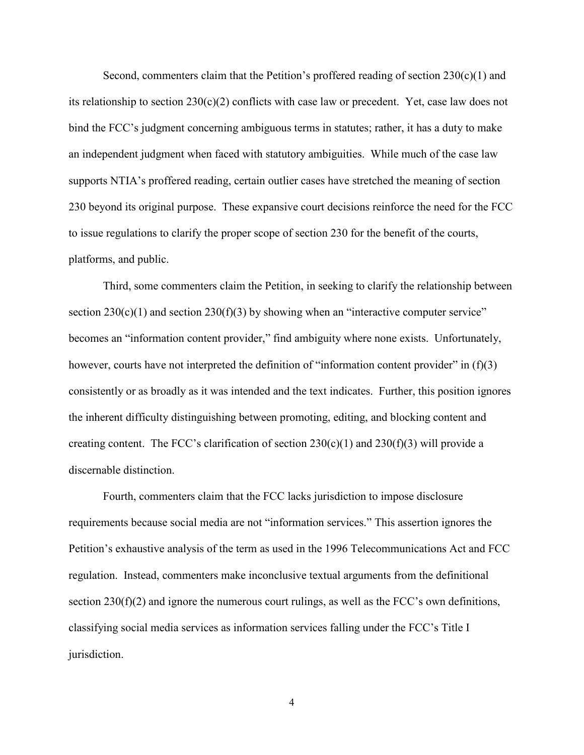Second, commenters claim that the Petition's proffered reading of section  $230(c)(1)$  and its relationship to section  $230(c)(2)$  conflicts with case law or precedent. Yet, case law does not bind the FCC's judgment concerning ambiguous terms in statutes; rather, it has a duty to make an independent judgment when faced with statutory ambiguities. While much of the case law supports NTIA's proffered reading, certain outlier cases have stretched the meaning of section 230 beyond its original purpose. These expansive court decisions reinforce the need for the FCC to issue regulations to clarify the proper scope of section 230 for the benefit of the courts, platforms, and public.

Third, some commenters claim the Petition, in seeking to clarify the relationship between section  $230(c)(1)$  and section  $230(f)(3)$  by showing when an "interactive computer service" becomes an "information content provider," find ambiguity where none exists. Unfortunately, however, courts have not interpreted the definition of "information content provider" in (f)(3) consistently or as broadly as it was intended and the text indicates. Further, this position ignores the inherent difficulty distinguishing between promoting, editing, and blocking content and creating content. The FCC's clarification of section  $230(c)(1)$  and  $230(f)(3)$  will provide a discernable distinction.

Fourth, commenters claim that the FCC lacks jurisdiction to impose disclosure requirements because social media are not "information services." This assertion ignores the Petition's exhaustive analysis of the term as used in the 1996 Telecommunications Act and FCC regulation. Instead, commenters make inconclusive textual arguments from the definitional section 230(f)(2) and ignore the numerous court rulings, as well as the FCC's own definitions, classifying social media services as information services falling under the FCC's Title I jurisdiction.

4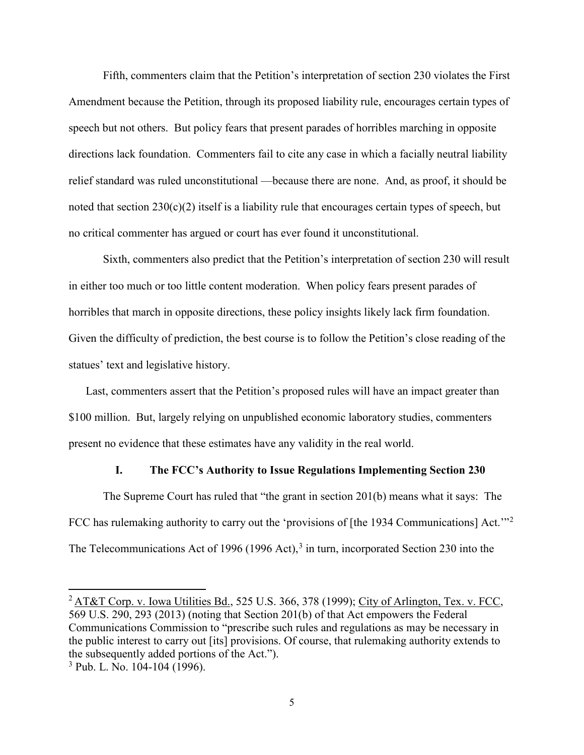Fifth, commenters claim that the Petition's interpretation of section 230 violates the First Amendment because the Petition, through its proposed liability rule, encourages certain types of speech but not others. But policy fears that present parades of horribles marching in opposite directions lack foundation. Commenters fail to cite any case in which a facially neutral liability relief standard was ruled unconstitutional —because there are none. And, as proof, it should be noted that section  $230(c)(2)$  itself is a liability rule that encourages certain types of speech, but no critical commenter has argued or court has ever found it unconstitutional.

Sixth, commenters also predict that the Petition's interpretation of section 230 will result in either too much or too little content moderation. When policy fears present parades of horribles that march in opposite directions, these policy insights likely lack firm foundation. Given the difficulty of prediction, the best course is to follow the Petition's close reading of the statues' text and legislative history.

Last, commenters assert that the Petition's proposed rules will have an impact greater than \$100 million. But, largely relying on unpublished economic laboratory studies, commenters present no evidence that these estimates have any validity in the real world.

#### **I. The FCC's Authority to Issue Regulations Implementing Section 230**

The Supreme Court has ruled that "the grant in section 201(b) means what it says: The FCC has rulemaking authority to carry out the 'provisions of [the 1934 Communications] Act."<sup>2</sup> The Telecommunications Act of 1996 (1996 Act),  $3$  in turn, incorporated Section 230 into the

<sup>&</sup>lt;sup>2</sup> AT&T Corp. v. Iowa Utilities Bd., 525 U.S. 366, 378 (1999); City of Arlington, Tex. v. FCC, 569 U.S. 290, 293 (2013) (noting that Section 201(b) of that Act empowers the Federal Communications Commission to "prescribe such rules and regulations as may be necessary in the public interest to carry out [its] provisions. Of course, that rulemaking authority extends to the subsequently added portions of the Act.").

 $3$  Pub. L. No. 104-104 (1996).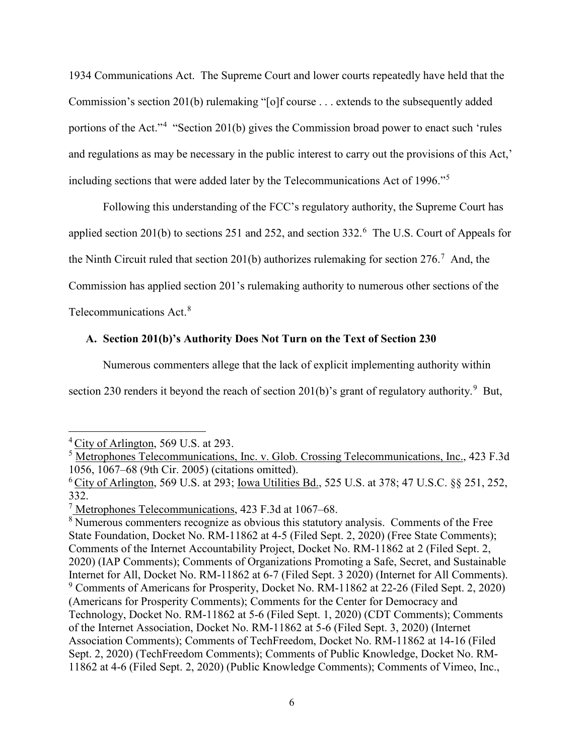1934 Communications Act. The Supreme Court and lower courts repeatedly have held that the Commission's section 201(b) rulemaking "[o]f course . . . extends to the subsequently added portions of the Act."<sup>4</sup> "Section 201(b) gives the Commission broad power to enact such 'rules and regulations as may be necessary in the public interest to carry out the provisions of this Act,' including sections that were added later by the Telecommunications Act of 1996."<sup>5</sup>

Following this understanding of the FCC's regulatory authority, the Supreme Court has applied section 201(b) to sections 251 and 252, and section 332.<sup>6</sup> The U.S. Court of Appeals for the Ninth Circuit ruled that section 201(b) authorizes rulemaking for section  $276$ .<sup>7</sup> And, the Commission has applied section 201's rulemaking authority to numerous other sections of the Telecommunications Act.<sup>8</sup>

#### **A. Section 201(b)'s Authority Does Not Turn on the Text of Section 230**

Numerous commenters allege that the lack of explicit implementing authority within

section 230 renders it beyond the reach of section 201(b)'s grant of regulatory authority.<sup>9</sup> But,

<sup>4</sup> City of Arlington, 569 U.S. at 293.

<sup>&</sup>lt;sup>5</sup> Metrophones Telecommunications, Inc. v. Glob. Crossing Telecommunications, Inc., 423 F.3d 1056, 1067–68 (9th Cir. 2005) (citations omitted).

 $6$  City of Arlington, 569 U.S. at 293; Iowa Utilities Bd., 525 U.S. at 378; 47 U.S.C. §§ 251, 252, 332.

 $7$  Metrophones Telecommunications, 423 F.3d at 1067–68.

<sup>&</sup>lt;sup>8</sup> Numerous commenters recognize as obvious this statutory analysis. Comments of the Free State Foundation, Docket No. RM-11862 at 4-5 (Filed Sept. 2, 2020) (Free State Comments); Comments of the Internet Accountability Project, Docket No. RM-11862 at 2 (Filed Sept. 2, 2020) (IAP Comments); Comments of Organizations Promoting a Safe, Secret, and Sustainable Internet for All, Docket No. RM-11862 at 6-7 (Filed Sept. 3 2020) (Internet for All Comments). <sup>9</sup> Comments of Americans for Prosperity, Docket No. RM-11862 at 22-26 (Filed Sept. 2, 2020) (Americans for Prosperity Comments); Comments for the Center for Democracy and Technology, Docket No. RM-11862 at 5-6 (Filed Sept. 1, 2020) (CDT Comments); Comments of the Internet Association, Docket No. RM-11862 at 5-6 (Filed Sept. 3, 2020) (Internet Association Comments); Comments of TechFreedom, Docket No. RM-11862 at 14-16 (Filed Sept. 2, 2020) (TechFreedom Comments); Comments of Public Knowledge, Docket No. RM-11862 at 4-6 (Filed Sept. 2, 2020) (Public Knowledge Comments); Comments of Vimeo, Inc.,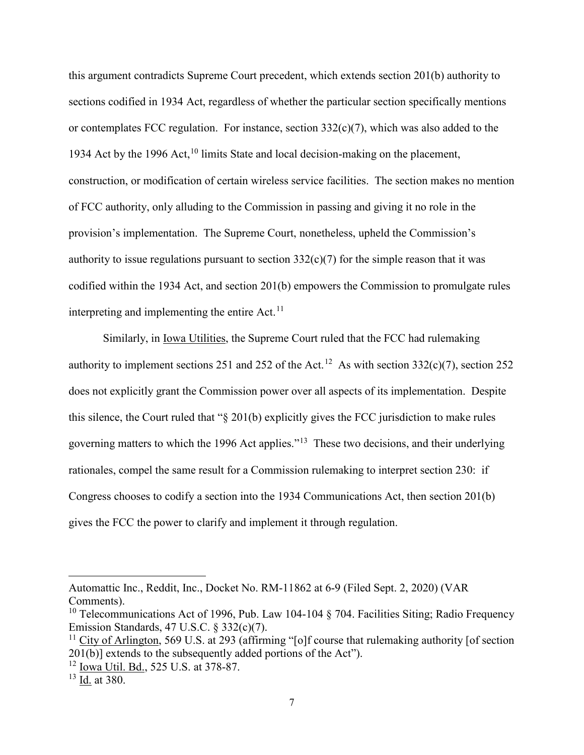this argument contradicts Supreme Court precedent, which extends section 201(b) authority to sections codified in 1934 Act, regardless of whether the particular section specifically mentions or contemplates FCC regulation. For instance, section  $332(c)(7)$ , which was also added to the 1934 Act by the 1996 Act,  $10 \text{ limits State}$  and local decision-making on the placement, construction, or modification of certain wireless service facilities. The section makes no mention of FCC authority, only alluding to the Commission in passing and giving it no role in the provision's implementation. The Supreme Court, nonetheless, upheld the Commission's authority to issue regulations pursuant to section  $332(c)(7)$  for the simple reason that it was codified within the 1934 Act, and section 201(b) empowers the Commission to promulgate rules interpreting and implementing the entire  $Act.<sup>11</sup>$ 

Similarly, in Iowa Utilities, the Supreme Court ruled that the FCC had rulemaking authority to implement sections 251 and 252 of the Act.<sup>12</sup> As with section 332(c)(7), section 252 does not explicitly grant the Commission power over all aspects of its implementation. Despite this silence, the Court ruled that "§ 201(b) explicitly gives the FCC jurisdiction to make rules governing matters to which the 1996 Act applies."13 These two decisions, and their underlying rationales, compel the same result for a Commission rulemaking to interpret section 230: if Congress chooses to codify a section into the 1934 Communications Act, then section 201(b) gives the FCC the power to clarify and implement it through regulation.

Automattic Inc., Reddit, Inc., Docket No. RM-11862 at 6-9 (Filed Sept. 2, 2020) (VAR Comments).

<sup>&</sup>lt;sup>10</sup> Telecommunications Act of 1996, Pub. Law 104-104  $\S$  704. Facilities Siting; Radio Frequency Emission Standards, 47 U.S.C. § 332(c)(7).

<sup>&</sup>lt;sup>11</sup> City of Arlington, 569 U.S. at 293 (affirming "[o]f course that rulemaking authority [of section 201(b)] extends to the subsequently added portions of the Act").

<sup>12</sup> Iowa Util. Bd., 525 U.S. at 378-87.

 $13$  Id. at 380.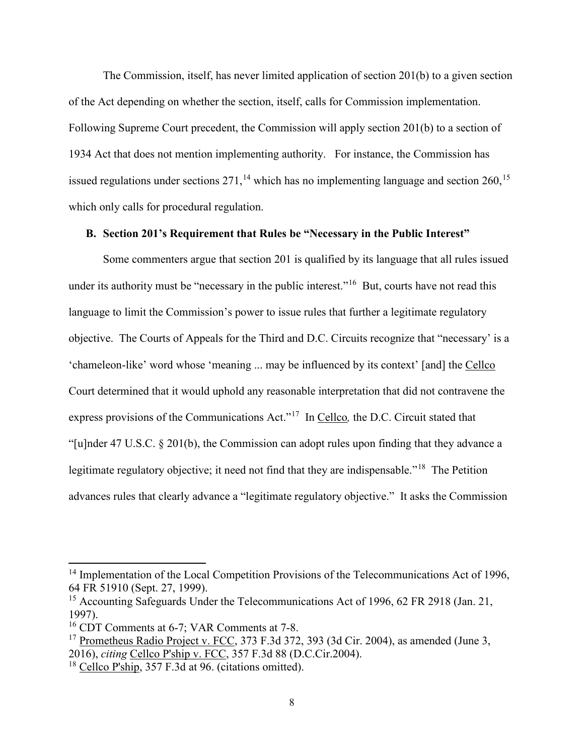The Commission, itself, has never limited application of section 201(b) to a given section of the Act depending on whether the section, itself, calls for Commission implementation. Following Supreme Court precedent, the Commission will apply section 201(b) to a section of 1934 Act that does not mention implementing authority. For instance, the Commission has issued regulations under sections  $271$ ,<sup>14</sup> which has no implementing language and section  $260$ ,<sup>15</sup> which only calls for procedural regulation.

#### **B. Section 201's Requirement that Rules be "Necessary in the Public Interest"**

Some commenters argue that section 201 is qualified by its language that all rules issued under its authority must be "necessary in the public interest."<sup>16</sup> But, courts have not read this language to limit the Commission's power to issue rules that further a legitimate regulatory objective. The Courts of Appeals for the Third and D.C. Circuits recognize that "necessary' is a 'chameleon-like' word whose 'meaning ... may be influenced by its context' [and] the Cellco Court determined that it would uphold any reasonable interpretation that did not contravene the express provisions of the Communications Act."17 In Cellco*,* the D.C. Circuit stated that "[u]nder 47 U.S.C. § 201(b), the Commission can adopt rules upon finding that they advance a legitimate regulatory objective; it need not find that they are indispensable."<sup>18</sup> The Petition advances rules that clearly advance a "legitimate regulatory objective." It asks the Commission

<sup>&</sup>lt;sup>14</sup> Implementation of the Local Competition Provisions of the Telecommunications Act of 1996, 64 FR 51910 (Sept. 27, 1999).

<sup>&</sup>lt;sup>15</sup> Accounting Safeguards Under the Telecommunications Act of 1996, 62 FR 2918 (Jan. 21, 1997).

<sup>16</sup> CDT Comments at 6-7; VAR Comments at 7-8.

 $17$  Prometheus Radio Project v. FCC, 373 F.3d 372, 393 (3d Cir. 2004), as amended (June 3, 2016), *citing* Cellco P'ship v. FCC, 357 F.3d 88 (D.C.Cir.2004).

<sup>&</sup>lt;sup>18</sup> Cellco P'ship, 357 F.3d at 96. (citations omitted).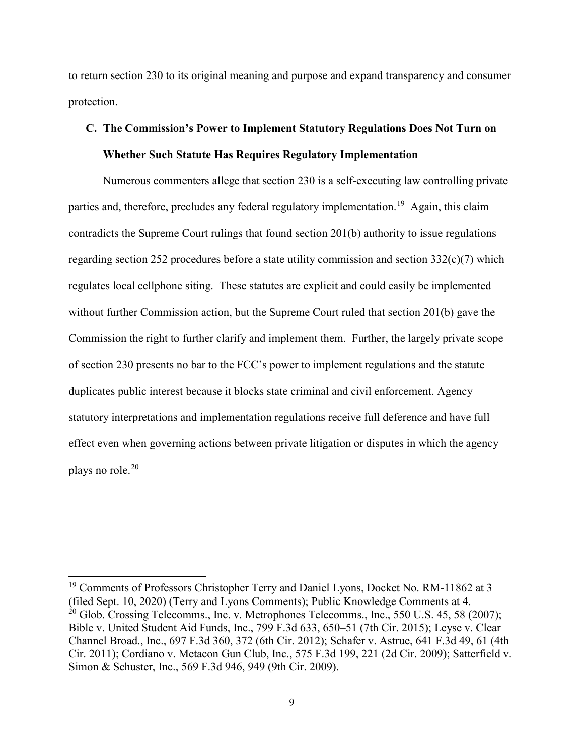to return section 230 to its original meaning and purpose and expand transparency and consumer protection.

## **C. The Commission's Power to Implement Statutory Regulations Does Not Turn on Whether Such Statute Has Requires Regulatory Implementation**

Numerous commenters allege that section 230 is a self-executing law controlling private parties and, therefore, precludes any federal regulatory implementation.<sup>19</sup> Again, this claim contradicts the Supreme Court rulings that found section 201(b) authority to issue regulations regarding section 252 procedures before a state utility commission and section 332(c)(7) which regulates local cellphone siting. These statutes are explicit and could easily be implemented without further Commission action, but the Supreme Court ruled that section 201(b) gave the Commission the right to further clarify and implement them. Further, the largely private scope of section 230 presents no bar to the FCC's power to implement regulations and the statute duplicates public interest because it blocks state criminal and civil enforcement. Agency statutory interpretations and implementation regulations receive full deference and have full effect even when governing actions between private litigation or disputes in which the agency plays no role.<sup>20</sup>

<sup>&</sup>lt;sup>19</sup> Comments of Professors Christopher Terry and Daniel Lyons, Docket No. RM-11862 at 3 (filed Sept. 10, 2020) (Terry and Lyons Comments); Public Knowledge Comments at 4.  $^{20}$  Glob. Crossing Telecomms., Inc. v. Metrophones Telecomms., Inc., 550 U.S. 45, 58 (2007); Bible v. United Student Aid Funds, Inc., 799 F.3d 633, 650–51 (7th Cir. 2015); Leyse v. Clear Channel Broad., Inc., 697 F.3d 360, 372 (6th Cir. 2012); Schafer v. Astrue, 641 F.3d 49, 61 (4th Cir. 2011); Cordiano v. Metacon Gun Club, Inc., 575 F.3d 199, 221 (2d Cir. 2009); Satterfield v. Simon & Schuster, Inc., 569 F.3d 946, 949 (9th Cir. 2009).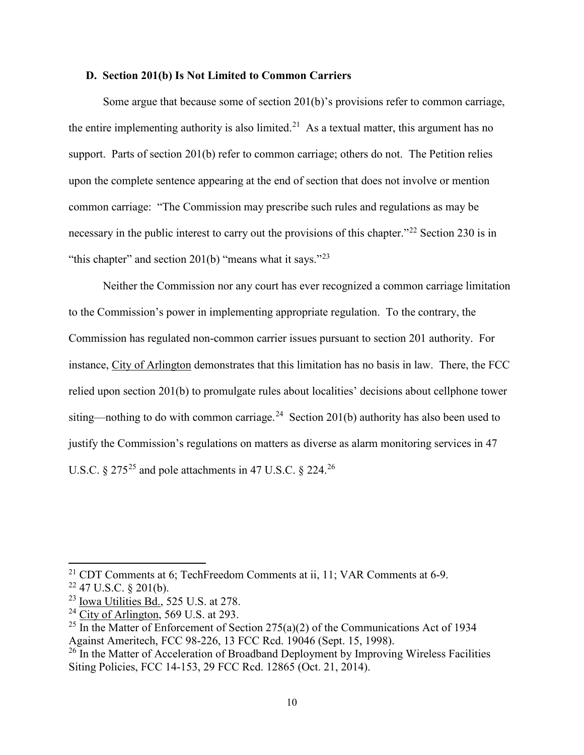#### **D. Section 201(b) Is Not Limited to Common Carriers**

Some argue that because some of section 201(b)'s provisions refer to common carriage, the entire implementing authority is also limited.<sup>21</sup> As a textual matter, this argument has no support. Parts of section 201(b) refer to common carriage; others do not. The Petition relies upon the complete sentence appearing at the end of section that does not involve or mention common carriage: "The Commission may prescribe such rules and regulations as may be necessary in the public interest to carry out the provisions of this chapter."<sup>22</sup> Section 230 is in "this chapter" and section 201(b) "means what it says."<sup>23</sup>

Neither the Commission nor any court has ever recognized a common carriage limitation to the Commission's power in implementing appropriate regulation. To the contrary, the Commission has regulated non-common carrier issues pursuant to section 201 authority. For instance, City of Arlington demonstrates that this limitation has no basis in law. There, the FCC relied upon section 201(b) to promulgate rules about localities' decisions about cellphone tower siting—nothing to do with common carriage.<sup>24</sup> Section 201(b) authority has also been used to justify the Commission's regulations on matters as diverse as alarm monitoring services in 47 U.S.C.  $\S 275^{25}$  and pole attachments in 47 U.S.C.  $\S 224$ .<sup>26</sup>

 $21$  CDT Comments at 6; TechFreedom Comments at ii, 11; VAR Comments at 6-9.  $22$  47 U.S.C. § 201(b).

 $23$  Iowa Utilities Bd., 525 U.S. at 278.

 $24$  City of Arlington, 569 U.S. at 293.

<sup>&</sup>lt;sup>25</sup> In the Matter of Enforcement of Section 275(a)(2) of the Communications Act of 1934 Against Ameritech, FCC 98-226, 13 FCC Rcd. 19046 (Sept. 15, 1998).

<sup>&</sup>lt;sup>26</sup> In the Matter of Acceleration of Broadband Deployment by Improving Wireless Facilities Siting Policies, FCC 14-153, 29 FCC Rcd. 12865 (Oct. 21, 2014).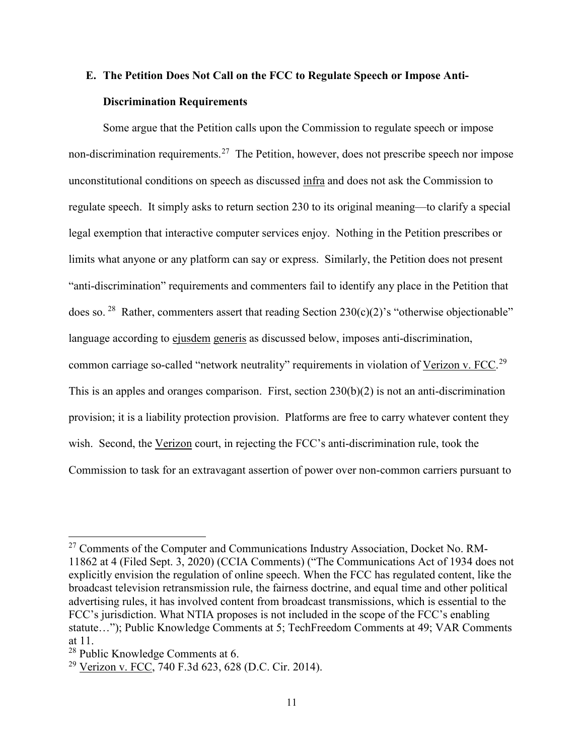## **E. The Petition Does Not Call on the FCC to Regulate Speech or Impose Anti-Discrimination Requirements**

Some argue that the Petition calls upon the Commission to regulate speech or impose non-discrimination requirements.<sup>27</sup> The Petition, however, does not prescribe speech nor impose unconstitutional conditions on speech as discussed infra and does not ask the Commission to regulate speech. It simply asks to return section 230 to its original meaning—to clarify a special legal exemption that interactive computer services enjoy. Nothing in the Petition prescribes or limits what anyone or any platform can say or express. Similarly, the Petition does not present "anti-discrimination" requirements and commenters fail to identify any place in the Petition that does so. <sup>28</sup> Rather, commenters assert that reading Section 230(c)(2)'s "otherwise objectionable" language according to ejusdem generis as discussed below, imposes anti-discrimination, common carriage so-called "network neutrality" requirements in violation of Verizon v. FCC.<sup>29</sup> This is an apples and oranges comparison. First, section 230(b)(2) is not an anti-discrimination provision; it is a liability protection provision. Platforms are free to carry whatever content they wish. Second, the Verizon court, in rejecting the FCC's anti-discrimination rule, took the Commission to task for an extravagant assertion of power over non-common carriers pursuant to

<sup>&</sup>lt;sup>27</sup> Comments of the Computer and Communications Industry Association, Docket No. RM-11862 at 4 (Filed Sept. 3, 2020) (CCIA Comments) ("The Communications Act of 1934 does not explicitly envision the regulation of online speech. When the FCC has regulated content, like the broadcast television retransmission rule, the fairness doctrine, and equal time and other political advertising rules, it has involved content from broadcast transmissions, which is essential to the FCC's jurisdiction. What NTIA proposes is not included in the scope of the FCC's enabling statute…"); Public Knowledge Comments at 5; TechFreedom Comments at 49; VAR Comments at 11.

<sup>&</sup>lt;sup>28</sup> Public Knowledge Comments at 6.

<sup>29</sup> Verizon v. FCC, 740 F.3d 623, 628 (D.C. Cir. 2014).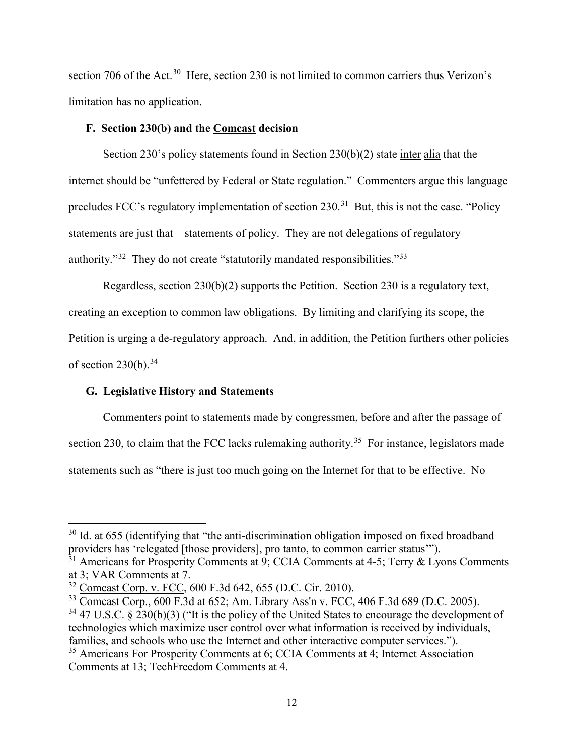section 706 of the Act.<sup>30</sup> Here, section 230 is not limited to common carriers thus Verizon's limitation has no application.

#### **F. Section 230(b) and the Comcast decision**

Section 230's policy statements found in Section 230(b)(2) state inter alia that the internet should be "unfettered by Federal or State regulation." Commenters argue this language precludes FCC's regulatory implementation of section 230.<sup>31</sup> But, this is not the case. "Policy statements are just that—statements of policy. They are not delegations of regulatory authority."<sup>32</sup> They do not create "statutorily mandated responsibilities."<sup>33</sup>

Regardless, section 230(b)(2) supports the Petition. Section 230 is a regulatory text, creating an exception to common law obligations. By limiting and clarifying its scope, the Petition is urging a de-regulatory approach. And, in addition, the Petition furthers other policies of section  $230(b)$ .  $34$ 

#### **G. Legislative History and Statements**

l

Commenters point to statements made by congressmen, before and after the passage of section 230, to claim that the FCC lacks rulemaking authority.<sup>35</sup> For instance, legislators made statements such as "there is just too much going on the Internet for that to be effective. No

 $30$  Id. at 655 (identifying that "the anti-discrimination obligation imposed on fixed broadband providers has 'relegated [those providers], pro tanto, to common carrier status'").

 $31$  Americans for Prosperity Comments at 9; CCIA Comments at 4-5; Terry & Lyons Comments at 3; VAR Comments at 7.

<sup>32</sup> Comcast Corp. v. FCC, 600 F.3d 642, 655 (D.C. Cir. 2010).

<sup>33</sup> Comcast Corp., 600 F.3d at 652; Am. Library Ass'n v. FCC, 406 F.3d 689 (D.C. 2005).

<sup>&</sup>lt;sup>34</sup> 47 U.S.C. § 230(b)(3) ("It is the policy of the United States to encourage the development of technologies which maximize user control over what information is received by individuals, families, and schools who use the Internet and other interactive computer services.").

<sup>&</sup>lt;sup>35</sup> Americans For Prosperity Comments at 6; CCIA Comments at 4; Internet Association Comments at 13; TechFreedom Comments at 4.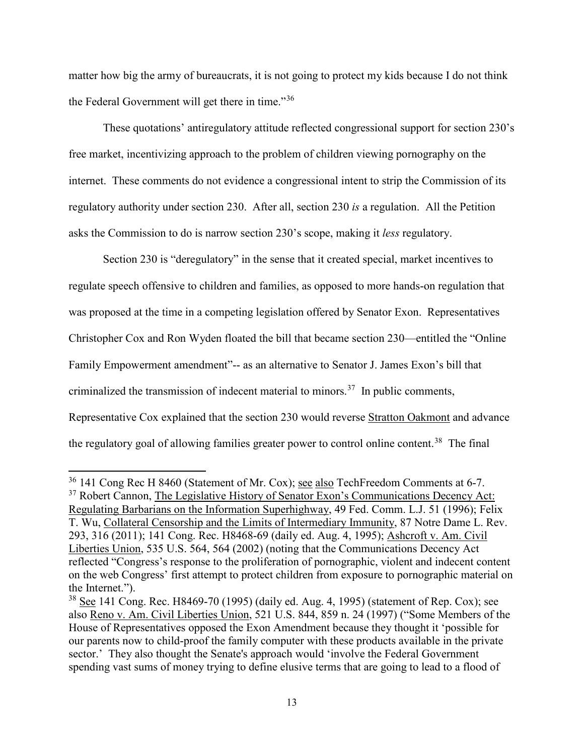matter how big the army of bureaucrats, it is not going to protect my kids because I do not think the Federal Government will get there in time."<sup>36</sup>

These quotations' antiregulatory attitude reflected congressional support for section 230's free market, incentivizing approach to the problem of children viewing pornography on the internet. These comments do not evidence a congressional intent to strip the Commission of its regulatory authority under section 230. After all, section 230 *is* a regulation. All the Petition asks the Commission to do is narrow section 230's scope, making it *less* regulatory.

Section 230 is "deregulatory" in the sense that it created special, market incentives to regulate speech offensive to children and families, as opposed to more hands-on regulation that was proposed at the time in a competing legislation offered by Senator Exon. Representatives Christopher Cox and Ron Wyden floated the bill that became section 230—entitled the "Online Family Empowerment amendment"-- as an alternative to Senator J. James Exon's bill that criminalized the transmission of indecent material to minors.<sup>37</sup> In public comments, Representative Cox explained that the section 230 would reverse Stratton Oakmont and advance the regulatory goal of allowing families greater power to control online content.<sup>38</sup> The final

<sup>&</sup>lt;sup>36</sup> 141 Cong Rec H 8460 (Statement of Mr. Cox); see also TechFreedom Comments at 6-7.

<sup>&</sup>lt;sup>37</sup> Robert Cannon, The Legislative History of Senator Exon's Communications Decency Act: Regulating Barbarians on the Information Superhighway, 49 Fed. Comm. L.J. 51 (1996); Felix T. Wu, Collateral Censorship and the Limits of Intermediary Immunity, 87 Notre Dame L. Rev. 293, 316 (2011); 141 Cong. Rec. H8468-69 (daily ed. Aug. 4, 1995); Ashcroft v. Am. Civil Liberties Union, 535 U.S. 564, 564 (2002) (noting that the Communications Decency Act reflected "Congress's response to the proliferation of pornographic, violent and indecent content on the web Congress' first attempt to protect children from exposure to pornographic material on the Internet.").

 $38$  See 141 Cong. Rec. H8469-70 (1995) (daily ed. Aug. 4, 1995) (statement of Rep. Cox); see also Reno v. Am. Civil Liberties Union, 521 U.S. 844, 859 n. 24 (1997) ("Some Members of the House of Representatives opposed the Exon Amendment because they thought it 'possible for our parents now to child-proof the family computer with these products available in the private sector.' They also thought the Senate's approach would 'involve the Federal Government spending vast sums of money trying to define elusive terms that are going to lead to a flood of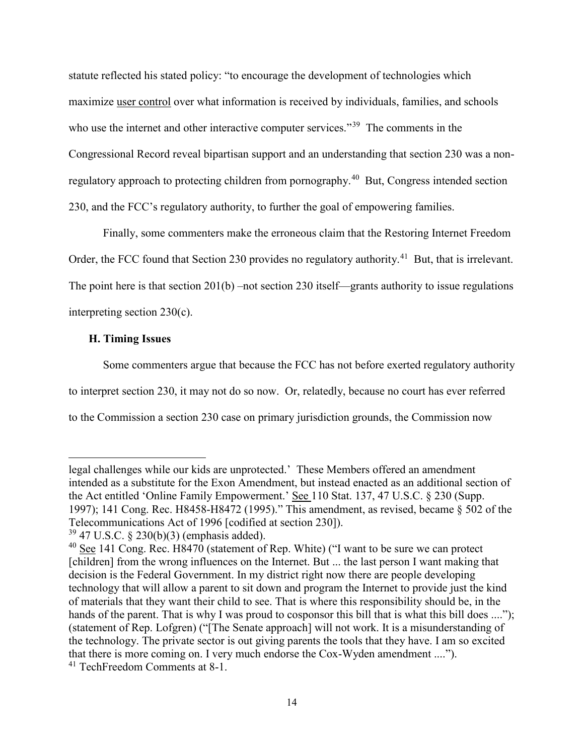statute reflected his stated policy: "to encourage the development of technologies which maximize user control over what information is received by individuals, families, and schools who use the internet and other interactive computer services."<sup>39</sup> The comments in the Congressional Record reveal bipartisan support and an understanding that section 230 was a nonregulatory approach to protecting children from pornography.<sup>40</sup> But, Congress intended section 230, and the FCC's regulatory authority, to further the goal of empowering families.

Finally, some commenters make the erroneous claim that the Restoring Internet Freedom Order, the FCC found that Section 230 provides no regulatory authority.<sup>41</sup> But, that is irrelevant. The point here is that section 201(b) –not section 230 itself—grants authority to issue regulations interpreting section 230(c).

#### **H. Timing Issues**

l

Some commenters argue that because the FCC has not before exerted regulatory authority to interpret section 230, it may not do so now. Or, relatedly, because no court has ever referred to the Commission a section 230 case on primary jurisdiction grounds, the Commission now

legal challenges while our kids are unprotected.' These Members offered an amendment intended as a substitute for the Exon Amendment, but instead enacted as an additional section of the Act entitled 'Online Family Empowerment.' See 110 Stat. 137, 47 U.S.C. § 230 (Supp. 1997); 141 Cong. Rec. H8458-H8472 (1995)." This amendment, as revised, became § 502 of the Telecommunications Act of 1996 [codified at section 230]).

 $39\,47$  U.S.C. § 230(b)(3) (emphasis added).

<sup>&</sup>lt;sup>40</sup> See 141 Cong. Rec. H8470 (statement of Rep. White) ("I want to be sure we can protect [children] from the wrong influences on the Internet. But ... the last person I want making that decision is the Federal Government. In my district right now there are people developing technology that will allow a parent to sit down and program the Internet to provide just the kind of materials that they want their child to see. That is where this responsibility should be, in the hands of the parent. That is why I was proud to cosponsor this bill that is what this bill does ...."); (statement of Rep. Lofgren) ("[The Senate approach] will not work. It is a misunderstanding of the technology. The private sector is out giving parents the tools that they have. I am so excited that there is more coming on. I very much endorse the Cox-Wyden amendment ...."). <sup>41</sup> TechFreedom Comments at 8-1.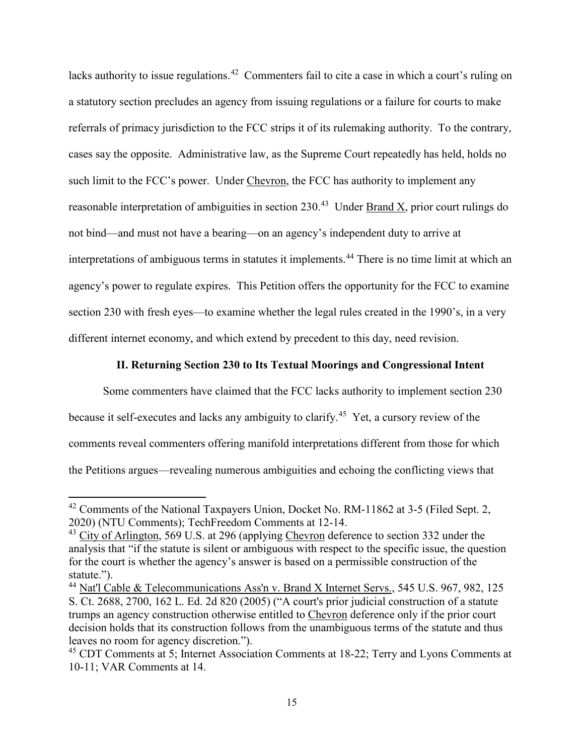lacks authority to issue regulations.<sup>42</sup> Commenters fail to cite a case in which a court's ruling on a statutory section precludes an agency from issuing regulations or a failure for courts to make referrals of primacy jurisdiction to the FCC strips it of its rulemaking authority. To the contrary, cases say the opposite. Administrative law, as the Supreme Court repeatedly has held, holds no such limit to the FCC's power. Under Chevron, the FCC has authority to implement any reasonable interpretation of ambiguities in section 230.<sup>43</sup> Under Brand X, prior court rulings do not bind—and must not have a bearing—on an agency's independent duty to arrive at interpretations of ambiguous terms in statutes it implements.<sup>44</sup> There is no time limit at which an agency's power to regulate expires. This Petition offers the opportunity for the FCC to examine section 230 with fresh eyes—to examine whether the legal rules created in the 1990's, in a very different internet economy, and which extend by precedent to this day, need revision.

#### **II. Returning Section 230 to Its Textual Moorings and Congressional Intent**

Some commenters have claimed that the FCC lacks authority to implement section 230 because it self-executes and lacks any ambiguity to clarify.45 Yet, a cursory review of the comments reveal commenters offering manifold interpretations different from those for which the Petitions argues—revealing numerous ambiguities and echoing the conflicting views that

 $42$  Comments of the National Taxpayers Union, Docket No. RM-11862 at 3-5 (Filed Sept. 2, 2020) (NTU Comments); TechFreedom Comments at 12-14.

<sup>&</sup>lt;sup>43</sup> City of Arlington, 569 U.S. at 296 (applying Chevron deference to section 332 under the analysis that "if the statute is silent or ambiguous with respect to the specific issue, the question for the court is whether the agency's answer is based on a permissible construction of the statute.").

<sup>44</sup> Nat'l Cable & Telecommunications Ass'n v. Brand X Internet Servs., 545 U.S. 967, 982, 125 S. Ct. 2688, 2700, 162 L. Ed. 2d 820 (2005) ("A court's prior judicial construction of a statute trumps an agency construction otherwise entitled to Chevron deference only if the prior court decision holds that its construction follows from the unambiguous terms of the statute and thus leaves no room for agency discretion.").

<sup>&</sup>lt;sup>45</sup> CDT Comments at 5; Internet Association Comments at 18-22; Terry and Lyons Comments at 10-11; VAR Comments at 14.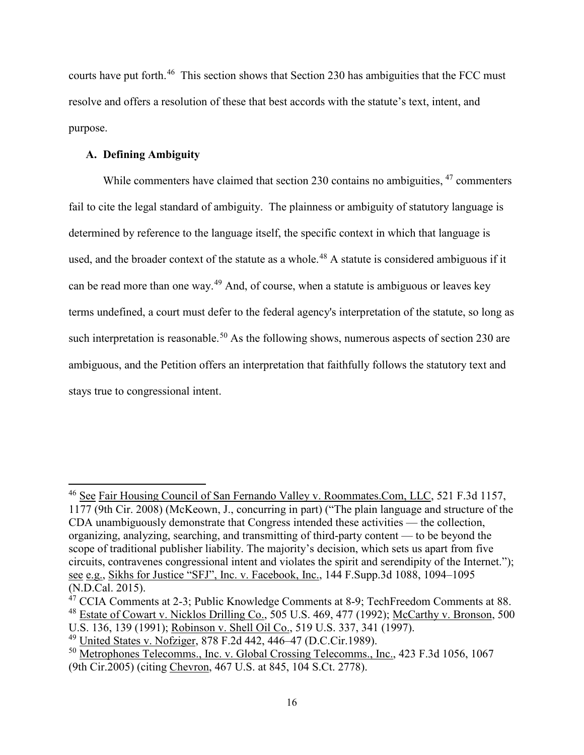courts have put forth.<sup>46</sup> This section shows that Section 230 has ambiguities that the FCC must resolve and offers a resolution of these that best accords with the statute's text, intent, and purpose.

#### **A. Defining Ambiguity**

 $\overline{a}$ 

While commenters have claimed that section 230 contains no ambiguities, <sup>47</sup> commenters fail to cite the legal standard of ambiguity. The plainness or ambiguity of statutory language is determined by reference to the language itself, the specific context in which that language is used, and the broader context of the statute as a whole.<sup>48</sup> A statute is considered ambiguous if it can be read more than one way.<sup>49</sup> And, of course, when a statute is ambiguous or leaves key terms undefined, a court must defer to the federal agency's interpretation of the statute, so long as such interpretation is reasonable.<sup>50</sup> As the following shows, numerous aspects of section 230 are ambiguous, and the Petition offers an interpretation that faithfully follows the statutory text and stays true to congressional intent.

<sup>&</sup>lt;sup>46</sup> See Fair Housing Council of San Fernando Valley v. Roommates.Com, LLC, 521 F.3d 1157, 1177 (9th Cir. 2008) (McKeown, J., concurring in part) ("The plain language and structure of the CDA unambiguously demonstrate that Congress intended these activities — the collection, organizing, analyzing, searching, and transmitting of third-party content — to be beyond the scope of traditional publisher liability. The majority's decision, which sets us apart from five circuits, contravenes congressional intent and violates the spirit and serendipity of the Internet."); see e.g., Sikhs for Justice "SFJ", Inc. v. Facebook, Inc., 144 F.Supp.3d 1088, 1094–1095 (N.D.Cal. 2015).

 $47$  CCIA Comments at 2-3; Public Knowledge Comments at 8-9; TechFreedom Comments at 88. <sup>48</sup> Estate of Cowart v. Nicklos Drilling Co., 505 U.S. 469, 477 (1992); McCarthy v. Bronson, 500

U.S. 136, 139 (1991); Robinson v. Shell Oil Co., 519 U.S. 337, 341 (1997).

<sup>49</sup> United States v. Nofziger, 878 F.2d 442, 446–47 (D.C.Cir.1989).

<sup>&</sup>lt;sup>50</sup> Metrophones Telecomms., Inc. v. Global Crossing Telecomms., Inc., 423 F.3d 1056, 1067 (9th Cir.2005) (citing Chevron, 467 U.S. at 845, 104 S.Ct. 2778).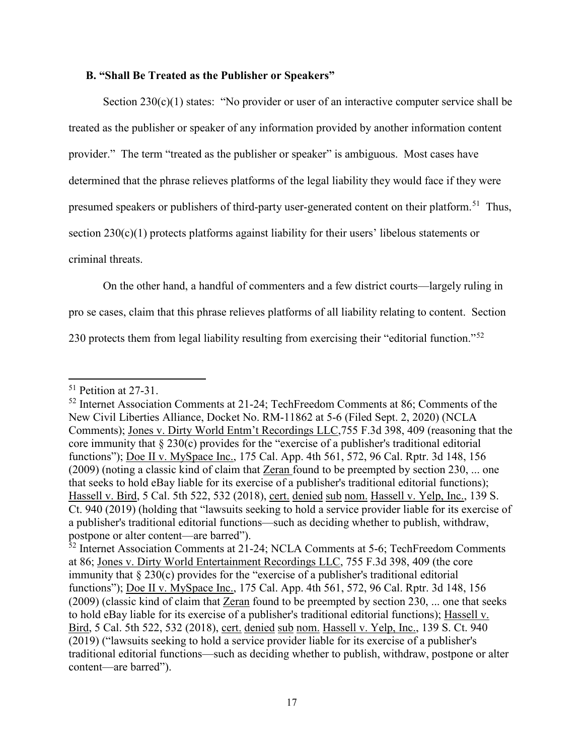#### **B. "Shall Be Treated as the Publisher or Speakers"**

Section 230(c)(1) states: "No provider or user of an interactive computer service shall be treated as the publisher or speaker of any information provided by another information content provider." The term "treated as the publisher or speaker" is ambiguous. Most cases have determined that the phrase relieves platforms of the legal liability they would face if they were presumed speakers or publishers of third-party user-generated content on their platform.<sup>51</sup> Thus, section 230(c)(1) protects platforms against liability for their users' libelous statements or criminal threats.

On the other hand, a handful of commenters and a few district courts—largely ruling in

pro se cases, claim that this phrase relieves platforms of all liability relating to content. Section

230 protects them from legal liability resulting from exercising their "editorial function."<sup>52</sup>

<sup>51</sup> Petition at 27-31.

<sup>52</sup> Internet Association Comments at 21-24; TechFreedom Comments at 86; Comments of the New Civil Liberties Alliance, Docket No. RM-11862 at 5-6 (Filed Sept. 2, 2020) (NCLA Comments); Jones v. Dirty World Entm't Recordings LLC,755 F.3d 398, 409 (reasoning that the core immunity that § 230(c) provides for the "exercise of a publisher's traditional editorial functions"); Doe II v. MySpace Inc., 175 Cal. App. 4th 561, 572, 96 Cal. Rptr. 3d 148, 156 (2009) (noting a classic kind of claim that Zeran found to be preempted by section 230, ... one that seeks to hold eBay liable for its exercise of a publisher's traditional editorial functions); Hassell v. Bird, 5 Cal. 5th 522, 532 (2018), cert. denied sub nom. Hassell v. Yelp, Inc., 139 S. Ct. 940 (2019) (holding that "lawsuits seeking to hold a service provider liable for its exercise of a publisher's traditional editorial functions—such as deciding whether to publish, withdraw, postpone or alter content—are barred").

<sup>&</sup>lt;sup>52</sup> Internet Association Comments at 21-24; NCLA Comments at 5-6; TechFreedom Comments at 86; Jones v. Dirty World Entertainment Recordings LLC, 755 F.3d 398, 409 (the core immunity that § 230(c) provides for the "exercise of a publisher's traditional editorial functions"); Doe II v. MySpace Inc., 175 Cal. App. 4th 561, 572, 96 Cal. Rptr. 3d 148, 156 (2009) (classic kind of claim that Zeran found to be preempted by section 230, ... one that seeks to hold eBay liable for its exercise of a publisher's traditional editorial functions); Hassell v. Bird, 5 Cal. 5th 522, 532 (2018), cert. denied sub nom. Hassell v. Yelp, Inc., 139 S. Ct. 940 (2019) ("lawsuits seeking to hold a service provider liable for its exercise of a publisher's traditional editorial functions—such as deciding whether to publish, withdraw, postpone or alter content—are barred").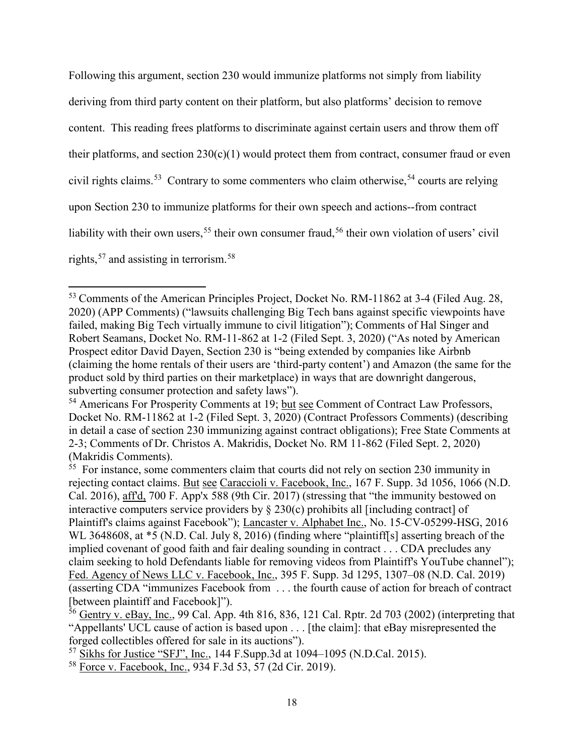Following this argument, section 230 would immunize platforms not simply from liability deriving from third party content on their platform, but also platforms' decision to remove content. This reading frees platforms to discriminate against certain users and throw them off their platforms, and section  $230(c)(1)$  would protect them from contract, consumer fraud or even civil rights claims.<sup>53</sup> Contrary to some commenters who claim otherwise.<sup>54</sup> courts are relying upon Section 230 to immunize platforms for their own speech and actions--from contract liability with their own users,<sup>55</sup> their own consumer fraud,<sup>56</sup> their own violation of users' civil rights,  $57$  and assisting in terrorism.  $58$ 

 $\overline{a}$ 

<sup>53</sup> Comments of the American Principles Project, Docket No. RM-11862 at 3-4 (Filed Aug. 28, 2020) (APP Comments) ("lawsuits challenging Big Tech bans against specific viewpoints have failed, making Big Tech virtually immune to civil litigation"); Comments of Hal Singer and Robert Seamans, Docket No. RM-11-862 at 1-2 (Filed Sept. 3, 2020) ("As noted by American Prospect editor David Dayen, Section 230 is "being extended by companies like Airbnb (claiming the home rentals of their users are 'third-party content') and Amazon (the same for the product sold by third parties on their marketplace) in ways that are downright dangerous, subverting consumer protection and safety laws").

<sup>&</sup>lt;sup>54</sup> Americans For Prosperity Comments at 19; but see Comment of Contract Law Professors, Docket No. RM-11862 at 1-2 (Filed Sept. 3, 2020) (Contract Professors Comments) (describing in detail a case of section 230 immunizing against contract obligations); Free State Comments at 2-3; Comments of Dr. Christos A. Makridis, Docket No. RM 11-862 (Filed Sept. 2, 2020) (Makridis Comments).

 $55$  For instance, some commenters claim that courts did not rely on section 230 immunity in rejecting contact claims. But see Caraccioli v. Facebook, Inc., 167 F. Supp. 3d 1056, 1066 (N.D. Cal. 2016), aff'd, 700 F. App'x 588 (9th Cir. 2017) (stressing that "the immunity bestowed on interactive computers service providers by § 230(c) prohibits all [including contract] of Plaintiff's claims against Facebook"); Lancaster v. Alphabet Inc., No. 15-CV-05299-HSG, 2016 WL 3648608, at  $*5$  (N.D. Cal. July 8, 2016) (finding where "plaintiff[s] asserting breach of the implied covenant of good faith and fair dealing sounding in contract . . . CDA precludes any claim seeking to hold Defendants liable for removing videos from Plaintiff's YouTube channel"); Fed. Agency of News LLC v. Facebook, Inc., 395 F. Supp. 3d 1295, 1307–08 (N.D. Cal. 2019) (asserting CDA "immunizes Facebook from . . . the fourth cause of action for breach of contract [between plaintiff and Facebook]").

 $56$  Gentry v. eBay, Inc., 99 Cal. App. 4th 816, 836, 121 Cal. Rptr. 2d 703 (2002) (interpreting that "Appellants' UCL cause of action is based upon . . . [the claim]: that eBay misrepresented the forged collectibles offered for sale in its auctions").<br><sup>57</sup> Sikhs for Justice "SFJ", Inc., 144 F.Supp.3d at 1094–1095 (N.D.Cal. 2015).

<sup>58</sup> Force v. Facebook, Inc., 934 F.3d 53, 57 (2d Cir. 2019).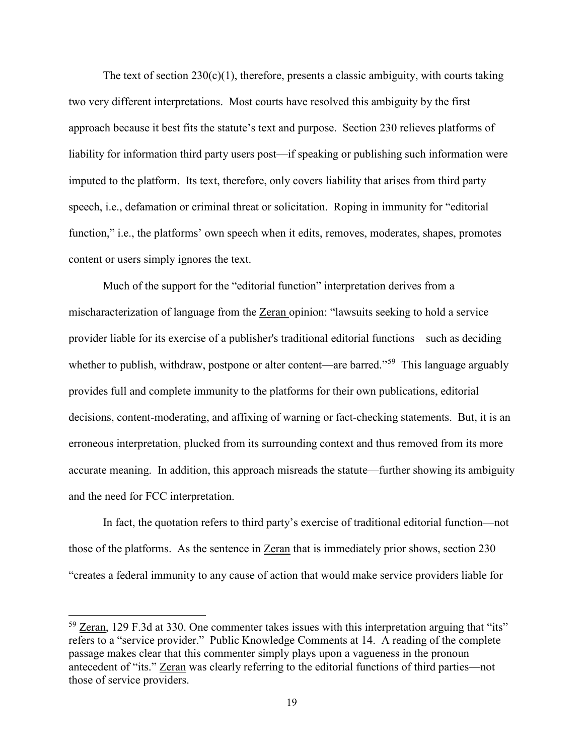The text of section  $230(c)(1)$ , therefore, presents a classic ambiguity, with courts taking two very different interpretations. Most courts have resolved this ambiguity by the first approach because it best fits the statute's text and purpose. Section 230 relieves platforms of liability for information third party users post—if speaking or publishing such information were imputed to the platform. Its text, therefore, only covers liability that arises from third party speech, i.e., defamation or criminal threat or solicitation. Roping in immunity for "editorial function," i.e., the platforms' own speech when it edits, removes, moderates, shapes, promotes content or users simply ignores the text.

Much of the support for the "editorial function" interpretation derives from a mischaracterization of language from the Zeran opinion: "lawsuits seeking to hold a service provider liable for its exercise of a publisher's traditional editorial functions—such as deciding whether to publish, withdraw, postpone or alter content—are barred."<sup>59</sup> This language arguably provides full and complete immunity to the platforms for their own publications, editorial decisions, content-moderating, and affixing of warning or fact-checking statements. But, it is an erroneous interpretation, plucked from its surrounding context and thus removed from its more accurate meaning. In addition, this approach misreads the statute—further showing its ambiguity and the need for FCC interpretation.

In fact, the quotation refers to third party's exercise of traditional editorial function—not those of the platforms. As the sentence in <u>Zeran</u> that is immediately prior shows, section 230 "creates a federal immunity to any cause of action that would make service providers liable for

 $\overline{a}$ 

<sup>59</sup> Zeran, 129 F.3d at 330. One commenter takes issues with this interpretation arguing that "its" refers to a "service provider." Public Knowledge Comments at 14. A reading of the complete passage makes clear that this commenter simply plays upon a vagueness in the pronoun antecedent of "its." Zeran was clearly referring to the editorial functions of third parties—not those of service providers.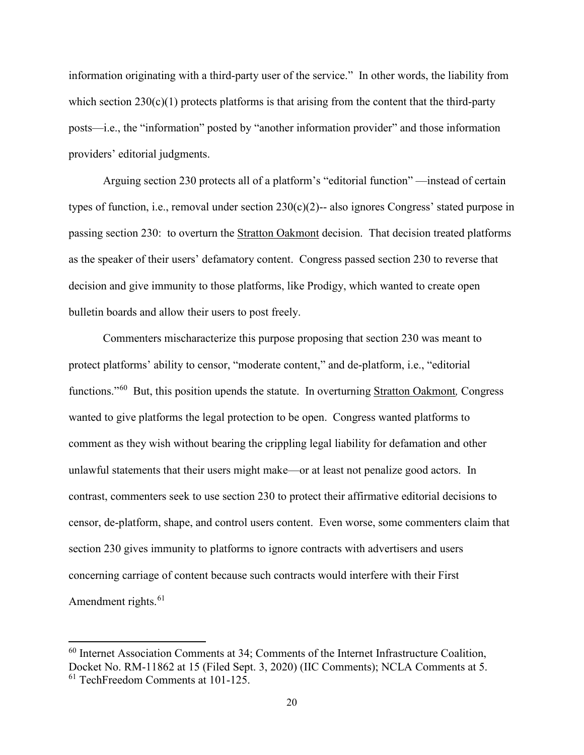information originating with a third-party user of the service." In other words, the liability from which section  $230(c)(1)$  protects platforms is that arising from the content that the third-party posts—i.e., the "information" posted by "another information provider" and those information providers' editorial judgments.

Arguing section 230 protects all of a platform's "editorial function" —instead of certain types of function, i.e., removal under section 230(c)(2)-- also ignores Congress' stated purpose in passing section 230: to overturn the Stratton Oakmont decision. That decision treated platforms as the speaker of their users' defamatory content. Congress passed section 230 to reverse that decision and give immunity to those platforms, like Prodigy, which wanted to create open bulletin boards and allow their users to post freely.

Commenters mischaracterize this purpose proposing that section 230 was meant to protect platforms' ability to censor, "moderate content," and de-platform, i.e., "editorial functions."60 But, this position upends the statute. In overturning Stratton Oakmont*,* Congress wanted to give platforms the legal protection to be open. Congress wanted platforms to comment as they wish without bearing the crippling legal liability for defamation and other unlawful statements that their users might make—or at least not penalize good actors. In contrast, commenters seek to use section 230 to protect their affirmative editorial decisions to censor, de-platform, shape, and control users content. Even worse, some commenters claim that section 230 gives immunity to platforms to ignore contracts with advertisers and users concerning carriage of content because such contracts would interfere with their First Amendment rights.<sup>61</sup>

<sup>60</sup> Internet Association Comments at 34; Comments of the Internet Infrastructure Coalition, Docket No. RM-11862 at 15 (Filed Sept. 3, 2020) (IIC Comments); NCLA Comments at 5. <sup>61</sup> TechFreedom Comments at 101-125.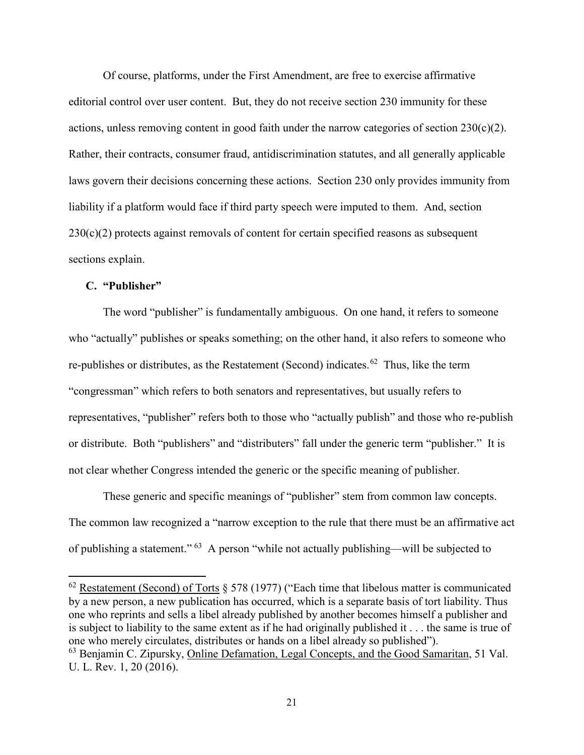Of course, platforms, under the First Amendment, are free to exercise affirmative editorial control over user content. But, they do not receive section 230 immunity for these actions, unless removing content in good faith under the narrow categories of section  $230(c)(2)$ . Rather, their contracts, consumer fraud, antidiscrimination statutes, and all generally applicable laws govern their decisions concerning these actions. Section 230 only provides immunity from liability if a platform would face if third party speech were imputed to them. And, section  $230(c)(2)$  protects against removals of content for certain specified reasons as subsequent sections explain.

#### **C. "Publisher"**

l

The word "publisher" is fundamentally ambiguous. On one hand, it refers to someone who "actually" publishes or speaks something; on the other hand, it also refers to someone who re-publishes or distributes, as the Restatement (Second) indicates.<sup>62</sup> Thus, like the term "congressman" which refers to both senators and representatives, but usually refers to representatives, "publisher" refers both to those who "actually publish" and those who re-publish or distribute. Both "publishers" and "distributers" fall under the generic term "publisher." It is not clear whether Congress intended the generic or the specific meaning of publisher.

These generic and specific meanings of "publisher" stem from common law concepts. The common law recognized a "narrow exception to the rule that there must be an affirmative act of publishing a statement." 63 A person "while not actually publishing—will be subjected to

 $62$  Restatement (Second) of Torts  $\S 578$  (1977) ("Each time that libelous matter is communicated by a new person, a new publication has occurred, which is a separate basis of tort liability. Thus one who reprints and sells a libel already published by another becomes himself a publisher and is subject to liability to the same extent as if he had originally published it . . . the same is true of one who merely circulates, distributes or hands on a libel already so published"). <sup>63</sup> Benjamin C. Zipursky, Online Defamation, Legal Concepts, and the Good Samaritan, 51 Val. U. L. Rev. 1, 20 (2016).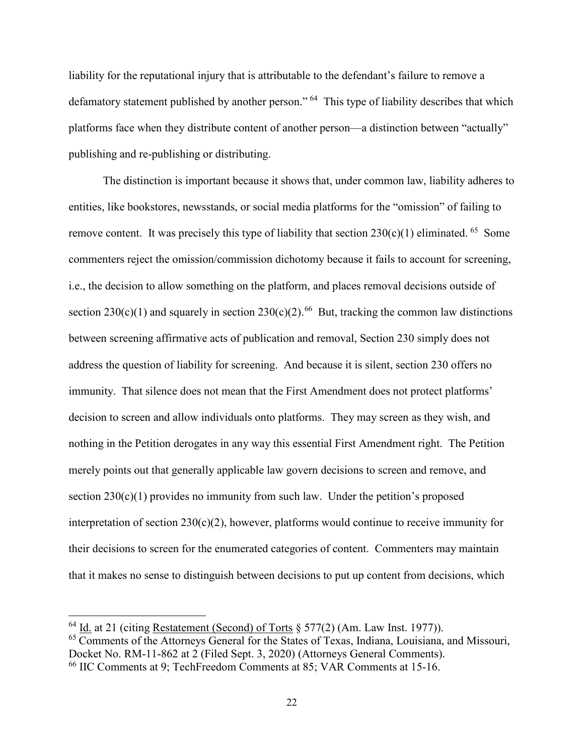liability for the reputational injury that is attributable to the defendant's failure to remove a defamatory statement published by another person." <sup>64</sup> This type of liability describes that which platforms face when they distribute content of another person—a distinction between "actually" publishing and re-publishing or distributing.

The distinction is important because it shows that, under common law, liability adheres to entities, like bookstores, newsstands, or social media platforms for the "omission" of failing to remove content. It was precisely this type of liability that section  $230(c)(1)$  eliminated. <sup>65</sup> Some commenters reject the omission/commission dichotomy because it fails to account for screening, i.e., the decision to allow something on the platform, and places removal decisions outside of section 230(c)(1) and squarely in section 230(c)(2).<sup>66</sup> But, tracking the common law distinctions between screening affirmative acts of publication and removal, Section 230 simply does not address the question of liability for screening. And because it is silent, section 230 offers no immunity. That silence does not mean that the First Amendment does not protect platforms' decision to screen and allow individuals onto platforms. They may screen as they wish, and nothing in the Petition derogates in any way this essential First Amendment right. The Petition merely points out that generally applicable law govern decisions to screen and remove, and section  $230(c)(1)$  provides no immunity from such law. Under the petition's proposed interpretation of section 230(c)(2), however, platforms would continue to receive immunity for their decisions to screen for the enumerated categories of content. Commenters may maintain that it makes no sense to distinguish between decisions to put up content from decisions, which

 $\overline{a}$ 

<sup>&</sup>lt;sup>64</sup> Id. at 21 (citing Restatement (Second) of Torts § 577(2) (Am. Law Inst. 1977)).

<sup>65</sup> Comments of the Attorneys General for the States of Texas, Indiana, Louisiana, and Missouri, Docket No. RM-11-862 at 2 (Filed Sept. 3, 2020) (Attorneys General Comments).

<sup>66</sup> IIC Comments at 9; TechFreedom Comments at 85; VAR Comments at 15-16.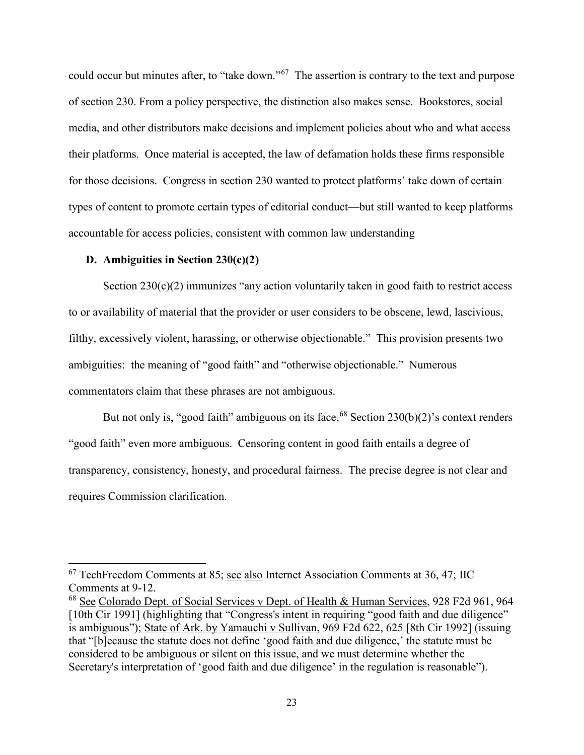could occur but minutes after, to "take down."67 The assertion is contrary to the text and purpose of section 230. From a policy perspective, the distinction also makes sense. Bookstores, social media, and other distributors make decisions and implement policies about who and what access their platforms. Once material is accepted, the law of defamation holds these firms responsible for those decisions. Congress in section 230 wanted to protect platforms' take down of certain types of content to promote certain types of editorial conduct—but still wanted to keep platforms accountable for access policies, consistent with common law understanding

#### **D. Ambiguities in Section 230(c)(2)**

 $\overline{\phantom{a}}$ 

Section  $230(c)(2)$  immunizes "any action voluntarily taken in good faith to restrict access to or availability of material that the provider or user considers to be obscene, lewd, lascivious, filthy, excessively violent, harassing, or otherwise objectionable." This provision presents two ambiguities: the meaning of "good faith" and "otherwise objectionable." Numerous commentators claim that these phrases are not ambiguous.

But not only is, "good faith" ambiguous on its face, <sup>68</sup> Section 230(b)(2)'s context renders "good faith" even more ambiguous. Censoring content in good faith entails a degree of transparency, consistency, honesty, and procedural fairness. The precise degree is not clear and requires Commission clarification.

<sup>67</sup> TechFreedom Comments at 85; see also Internet Association Comments at 36, 47; IIC Comments at 9-12.

<sup>&</sup>lt;sup>68</sup> See Colorado Dept. of Social Services v Dept. of Health & Human Services, 928 F2d 961, 964 [10th Cir 1991] (highlighting that "Congress's intent in requiring "good faith and due diligence" is ambiguous"); State of Ark. by Yamauchi v Sullivan, 969 F2d 622, 625 [8th Cir 1992] (issuing that "[b]ecause the statute does not define 'good faith and due diligence,' the statute must be considered to be ambiguous or silent on this issue, and we must determine whether the Secretary's interpretation of 'good faith and due diligence' in the regulation is reasonable").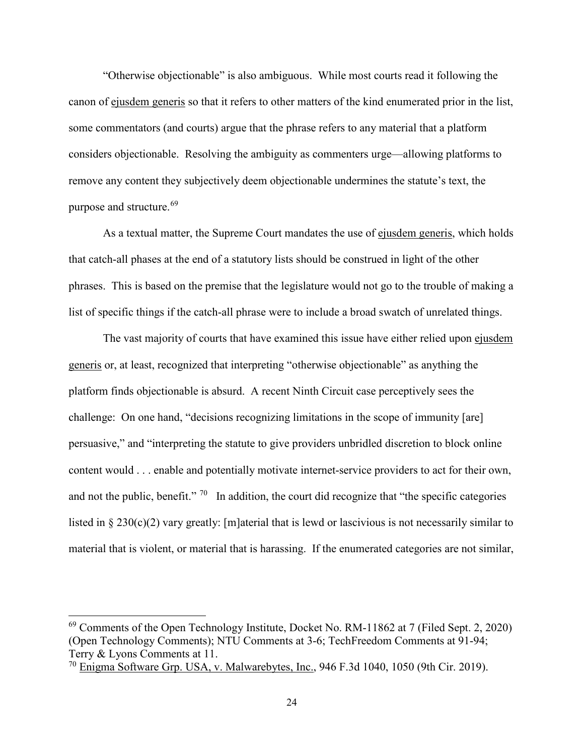"Otherwise objectionable" is also ambiguous. While most courts read it following the canon of ejusdem generis so that it refers to other matters of the kind enumerated prior in the list, some commentators (and courts) argue that the phrase refers to any material that a platform considers objectionable. Resolving the ambiguity as commenters urge—allowing platforms to remove any content they subjectively deem objectionable undermines the statute's text, the purpose and structure.<sup>69</sup>

As a textual matter, the Supreme Court mandates the use of ejusdem generis, which holds that catch-all phases at the end of a statutory lists should be construed in light of the other phrases. This is based on the premise that the legislature would not go to the trouble of making a list of specific things if the catch-all phrase were to include a broad swatch of unrelated things.

The vast majority of courts that have examined this issue have either relied upon ejusdem generis or, at least, recognized that interpreting "otherwise objectionable" as anything the platform finds objectionable is absurd. A recent Ninth Circuit case perceptively sees the challenge: On one hand, "decisions recognizing limitations in the scope of immunity [are] persuasive," and "interpreting the statute to give providers unbridled discretion to block online content would . . . enable and potentially motivate internet-service providers to act for their own, and not the public, benefit."  $70$  In addition, the court did recognize that "the specific categories" listed in § 230(c)(2) vary greatly: [m]aterial that is lewd or lascivious is not necessarily similar to material that is violent, or material that is harassing. If the enumerated categories are not similar,

 $\overline{a}$ 

 $69$  Comments of the Open Technology Institute, Docket No. RM-11862 at 7 (Filed Sept. 2, 2020) (Open Technology Comments); NTU Comments at 3-6; TechFreedom Comments at 91-94; Terry & Lyons Comments at 11.

<sup>70</sup> Enigma Software Grp. USA, v. Malwarebytes, Inc., 946 F.3d 1040, 1050 (9th Cir. 2019).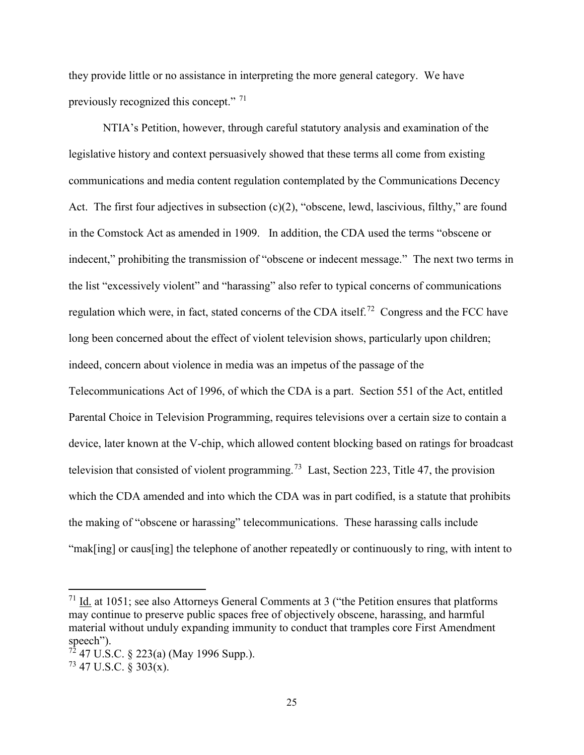they provide little or no assistance in interpreting the more general category. We have previously recognized this concept." <sup>71</sup>

NTIA's Petition, however, through careful statutory analysis and examination of the legislative history and context persuasively showed that these terms all come from existing communications and media content regulation contemplated by the Communications Decency Act. The first four adjectives in subsection  $(c)(2)$ , "obscene, lewd, lascivious, filthy," are found in the Comstock Act as amended in 1909. In addition, the CDA used the terms "obscene or indecent," prohibiting the transmission of "obscene or indecent message." The next two terms in the list "excessively violent" and "harassing" also refer to typical concerns of communications regulation which were, in fact, stated concerns of the CDA itself.<sup>72</sup> Congress and the FCC have long been concerned about the effect of violent television shows, particularly upon children; indeed, concern about violence in media was an impetus of the passage of the Telecommunications Act of 1996, of which the CDA is a part. Section 551 of the Act, entitled Parental Choice in Television Programming, requires televisions over a certain size to contain a device, later known at the V-chip, which allowed content blocking based on ratings for broadcast television that consisted of violent programming.<sup>73</sup> Last, Section 223, Title 47, the provision which the CDA amended and into which the CDA was in part codified, is a statute that prohibits the making of "obscene or harassing" telecommunications. These harassing calls include "mak[ing] or caus[ing] the telephone of another repeatedly or continuously to ring, with intent to

 $71$  Id. at 1051; see also Attorneys General Comments at 3 ("the Petition ensures that platforms may continue to preserve public spaces free of objectively obscene, harassing, and harmful material without unduly expanding immunity to conduct that tramples core First Amendment speech").

 $72$  47 U.S.C. § 223(a) (May 1996 Supp.).

 $73$  47 U.S.C.  $\frac{1}{2}$  303(x).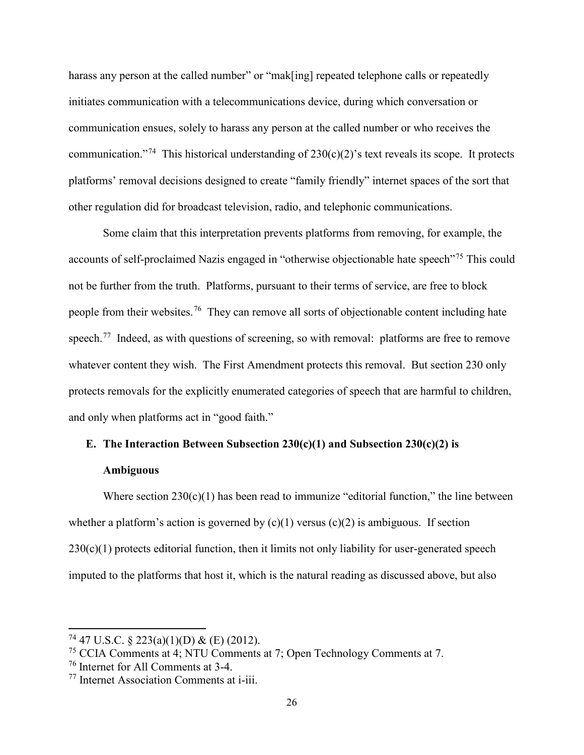harass any person at the called number" or "mak[ing] repeated telephone calls or repeatedly initiates communication with a telecommunications device, during which conversation or communication ensues, solely to harass any person at the called number or who receives the communication."<sup>74</sup> This historical understanding of  $230(c)(2)$ 's text reveals its scope. It protects platforms' removal decisions designed to create "family friendly" internet spaces of the sort that other regulation did for broadcast television, radio, and telephonic communications.

Some claim that this interpretation prevents platforms from removing, for example, the accounts of self-proclaimed Nazis engaged in "otherwise objectionable hate speech"<sup>75</sup> This could not be further from the truth. Platforms, pursuant to their terms of service, are free to block people from their websites.76 They can remove all sorts of objectionable content including hate speech.<sup>77</sup> Indeed, as with questions of screening, so with removal: platforms are free to remove whatever content they wish. The First Amendment protects this removal. But section 230 only protects removals for the explicitly enumerated categories of speech that are harmful to children, and only when platforms act in "good faith."

# **E. The Interaction Between Subsection 230(c)(1) and Subsection 230(c)(2) is**

#### **Ambiguous**

Where section  $230(c)(1)$  has been read to immunize "editorial function," the line between whether a platform's action is governed by  $(c)(1)$  versus  $(c)(2)$  is ambiguous. If section  $230(c)(1)$  protects editorial function, then it limits not only liability for user-generated speech imputed to the platforms that host it, which is the natural reading as discussed above, but also

<sup>&</sup>lt;sup>74</sup> 47 U.S.C. § 223(a)(1)(D) & (E) (2012).

<sup>75</sup> CCIA Comments at 4; NTU Comments at 7; Open Technology Comments at 7.

<sup>76</sup> Internet for All Comments at 3-4.

<sup>77</sup> Internet Association Comments at i-iii.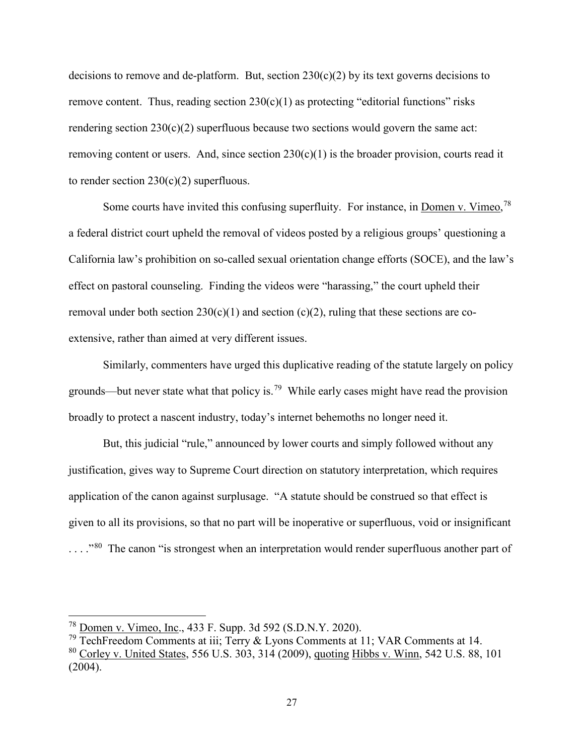decisions to remove and de-platform. But, section  $230(c)(2)$  by its text governs decisions to remove content. Thus, reading section  $230(c)(1)$  as protecting "editorial functions" risks rendering section  $230(c)(2)$  superfluous because two sections would govern the same act: removing content or users. And, since section  $230(c)(1)$  is the broader provision, courts read it to render section  $230(c)(2)$  superfluous.

Some courts have invited this confusing superfluity. For instance, in Domen v. Vimeo,<sup>78</sup> a federal district court upheld the removal of videos posted by a religious groups' questioning a California law's prohibition on so-called sexual orientation change efforts (SOCE), and the law's effect on pastoral counseling. Finding the videos were "harassing," the court upheld their removal under both section  $230(c)(1)$  and section (c)(2), ruling that these sections are coextensive, rather than aimed at very different issues.

Similarly, commenters have urged this duplicative reading of the statute largely on policy grounds—but never state what that policy is.<sup>79</sup> While early cases might have read the provision broadly to protect a nascent industry, today's internet behemoths no longer need it.

But, this judicial "rule," announced by lower courts and simply followed without any justification, gives way to Supreme Court direction on statutory interpretation, which requires application of the canon against surplusage. "A statute should be construed so that effect is given to all its provisions, so that no part will be inoperative or superfluous, void or insignificant ...."<sup>80</sup> The canon "is strongest when an interpretation would render superfluous another part of

 $\overline{a}$ 

<sup>&</sup>lt;sup>78</sup> Domen v. Vimeo, Inc., 433 F. Supp. 3d 592 (S.D.N.Y. 2020).

<sup>79</sup> TechFreedom Comments at iii; Terry & Lyons Comments at 11; VAR Comments at 14.

<sup>80</sup> Corley v. United States, 556 U.S. 303, 314 (2009), quoting Hibbs v. Winn, 542 U.S. 88, 101 (2004).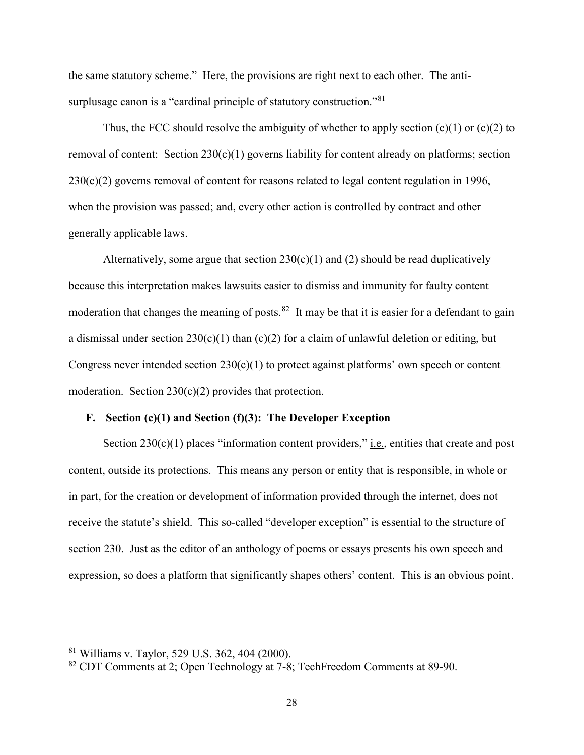the same statutory scheme." Here, the provisions are right next to each other. The antisurplusage canon is a "cardinal principle of statutory construction."<sup>81</sup>

Thus, the FCC should resolve the ambiguity of whether to apply section  $(c)(1)$  or  $(c)(2)$  to removal of content: Section  $230(c)(1)$  governs liability for content already on platforms; section  $230(c)(2)$  governs removal of content for reasons related to legal content regulation in 1996, when the provision was passed; and, every other action is controlled by contract and other generally applicable laws.

Alternatively, some argue that section  $230(c)(1)$  and (2) should be read duplicatively because this interpretation makes lawsuits easier to dismiss and immunity for faulty content moderation that changes the meaning of posts.<sup>82</sup> It may be that it is easier for a defendant to gain a dismissal under section  $230(c)(1)$  than  $(c)(2)$  for a claim of unlawful deletion or editing, but Congress never intended section  $230(c)(1)$  to protect against platforms' own speech or content moderation. Section  $230(c)(2)$  provides that protection.

#### **F. Section (c)(1) and Section (f)(3): The Developer Exception**

Section  $230(c)(1)$  places "information content providers," *i.e.*, entities that create and post content, outside its protections. This means any person or entity that is responsible, in whole or in part, for the creation or development of information provided through the internet, does not receive the statute's shield. This so-called "developer exception" is essential to the structure of section 230. Just as the editor of an anthology of poems or essays presents his own speech and expression, so does a platform that significantly shapes others' content. This is an obvious point.

<sup>&</sup>lt;sup>81</sup> Williams v. Taylor, 529 U.S. 362, 404 (2000).

<sup>82</sup> CDT Comments at 2; Open Technology at 7-8; TechFreedom Comments at 89-90.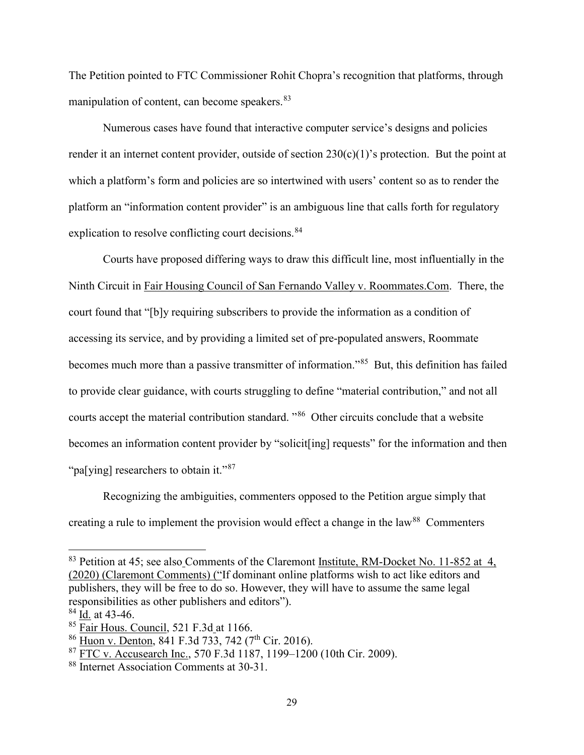The Petition pointed to FTC Commissioner Rohit Chopra's recognition that platforms, through manipulation of content, can become speakers.<sup>83</sup>

Numerous cases have found that interactive computer service's designs and policies render it an internet content provider, outside of section  $230(c)(1)$ 's protection. But the point at which a platform's form and policies are so intertwined with users' content so as to render the platform an "information content provider" is an ambiguous line that calls forth for regulatory explication to resolve conflicting court decisions.<sup>84</sup>

Courts have proposed differing ways to draw this difficult line, most influentially in the Ninth Circuit in Fair Housing Council of San Fernando Valley v. Roommates.Com. There, the court found that "[b]y requiring subscribers to provide the information as a condition of accessing its service, and by providing a limited set of pre-populated answers, Roommate becomes much more than a passive transmitter of information."<sup>85</sup> But, this definition has failed to provide clear guidance, with courts struggling to define "material contribution," and not all courts accept the material contribution standard. "86 Other circuits conclude that a website becomes an information content provider by "solicit[ing] requests" for the information and then "pa[ying] researchers to obtain it."<sup>87</sup>

Recognizing the ambiguities, commenters opposed to the Petition argue simply that creating a rule to implement the provision would effect a change in the law<sup>88</sup> Commenters

 $\overline{a}$ 

<sup>&</sup>lt;sup>83</sup> Petition at 45; see also Comments of the Claremont Institute, RM-Docket No. 11-852 at 4, (2020) (Claremont Comments) ("If dominant online platforms wish to act like editors and publishers, they will be free to do so. However, they will have to assume the same legal responsibilities as other publishers and editors").

<sup>84</sup> Id. at 43-46.

 $85$  Fair Hous. Council, 521 F.3d at 1166.

 $86$  Huon v. Denton,  $841$  F.3d 733, 742 (7<sup>th</sup> Cir. 2016).

 $\frac{87}{187}$  FTC v. Accusearch Inc., 570 F.3d 1187, 1199–1200 (10th Cir. 2009).<br> $\frac{88}{18}$  Internet Association Comments at 30-31.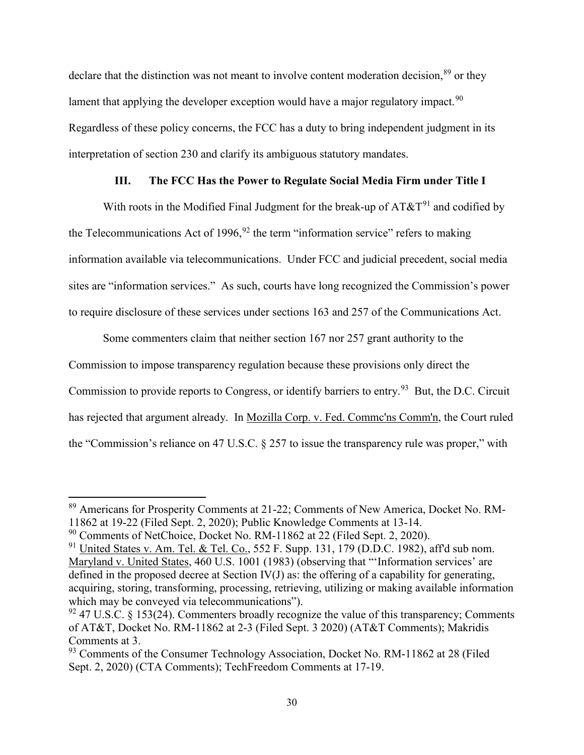declare that the distinction was not meant to involve content moderation decision,<sup>89</sup> or they lament that applying the developer exception would have a major regulatory impact.<sup>90</sup> Regardless of these policy concerns, the FCC has a duty to bring independent judgment in its interpretation of section 230 and clarify its ambiguous statutory mandates.

#### **III. The FCC Has the Power to Regulate Social Media Firm under Title I**

With roots in the Modified Final Judgment for the break-up of  $AT\&T^{91}$  and codified by the Telecommunications Act of 1996,  $92$  the term "information service" refers to making information available via telecommunications. Under FCC and judicial precedent, social media sites are "information services." As such, courts have long recognized the Commission's power to require disclosure of these services under sections 163 and 257 of the Communications Act.

Some commenters claim that neither section 167 nor 257 grant authority to the Commission to impose transparency regulation because these provisions only direct the Commission to provide reports to Congress, or identify barriers to entry.<sup>93</sup> But, the D.C. Circuit has rejected that argument already. In Mozilla Corp. v. Fed. Commc'ns Comm'n, the Court ruled the "Commission's reliance on 47 U.S.C. § 257 to issue the transparency rule was proper," with

<sup>&</sup>lt;sup>89</sup> Americans for Prosperity Comments at 21-22; Comments of New America, Docket No. RM-11862 at 19-22 (Filed Sept. 2, 2020); Public Knowledge Comments at 13-14.<br><sup>90</sup> Comments of NetChoice, Docket No. RM-11862 at 22 (Filed Sept. 2, 2020).

<sup>&</sup>lt;sup>91</sup> United States v. Am. Tel. & Tel. Co., 552 F. Supp. 131, 179 (D.D.C. 1982), aff'd sub nom. Maryland v. United States, 460 U.S. 1001 (1983) (observing that "'Information services' are defined in the proposed decree at Section IV(J) as: the offering of a capability for generating, acquiring, storing, transforming, processing, retrieving, utilizing or making available information which may be conveyed via telecommunications").

 $92$  47 U.S.C. § 153(24). Commenters broadly recognize the value of this transparency; Comments of AT&T, Docket No. RM-11862 at 2-3 (Filed Sept. 3 2020) (AT&T Comments); Makridis Comments at 3.

<sup>&</sup>lt;sup>93</sup> Comments of the Consumer Technology Association, Docket No. RM-11862 at 28 (Filed Sept. 2, 2020) (CTA Comments); TechFreedom Comments at 17-19.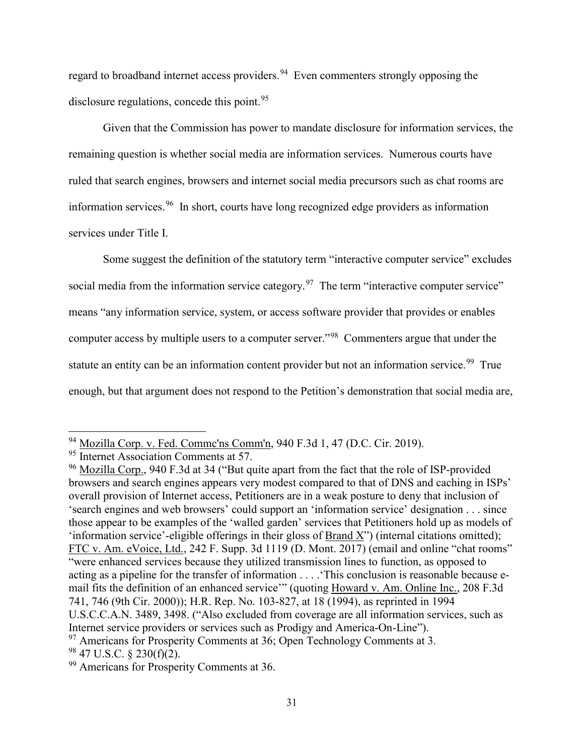regard to broadband internet access providers.<sup>94</sup> Even commenters strongly opposing the disclosure regulations, concede this point.<sup>95</sup>

Given that the Commission has power to mandate disclosure for information services, the remaining question is whether social media are information services. Numerous courts have ruled that search engines, browsers and internet social media precursors such as chat rooms are information services.96 In short, courts have long recognized edge providers as information services under Title I.

Some suggest the definition of the statutory term "interactive computer service" excludes social media from the information service category.<sup>97</sup> The term "interactive computer service" means "any information service, system, or access software provider that provides or enables computer access by multiple users to a computer server."<sup>98</sup> Commenters argue that under the statute an entity can be an information content provider but not an information service.<sup>99</sup> True enough, but that argument does not respond to the Petition's demonstration that social media are,

 $^{94}$  Mozilla Corp. v. Fed. Commc'ns Comm'n, 940 F.3d 1, 47 (D.C. Cir. 2019).<br><sup>95</sup> Internet Association Comments at 57.

<sup>&</sup>lt;sup>96</sup> Mozilla Corp., 940 F.3d at 34 ("But quite apart from the fact that the role of ISP-provided browsers and search engines appears very modest compared to that of DNS and caching in ISPs' overall provision of Internet access, Petitioners are in a weak posture to deny that inclusion of 'search engines and web browsers' could support an 'information service' designation . . . since those appear to be examples of the 'walled garden' services that Petitioners hold up as models of 'information service'-eligible offerings in their gloss of Brand X") (internal citations omitted); FTC v. Am. eVoice, Ltd., 242 F. Supp. 3d 1119 (D. Mont. 2017) (email and online "chat rooms" "were enhanced services because they utilized transmission lines to function, as opposed to acting as a pipeline for the transfer of information . . . .'This conclusion is reasonable because email fits the definition of an enhanced service'" (quoting Howard v. Am. Online Inc., 208 F.3d 741, 746 (9th Cir. 2000)); H.R. Rep. No. 103-827, at 18 (1994), as reprinted in 1994 U.S.C.C.A.N. 3489, 3498. ("Also excluded from coverage are all information services, such as Internet service providers or services such as Prodigy and America-On-Line"). <sup>97</sup> Americans for Prosperity Comments at 36; Open Technology Comments at 3.  $98$  47 U.S.C. § 230(f)(2).

<sup>&</sup>lt;sup>99</sup> Americans for Prosperity Comments at 36.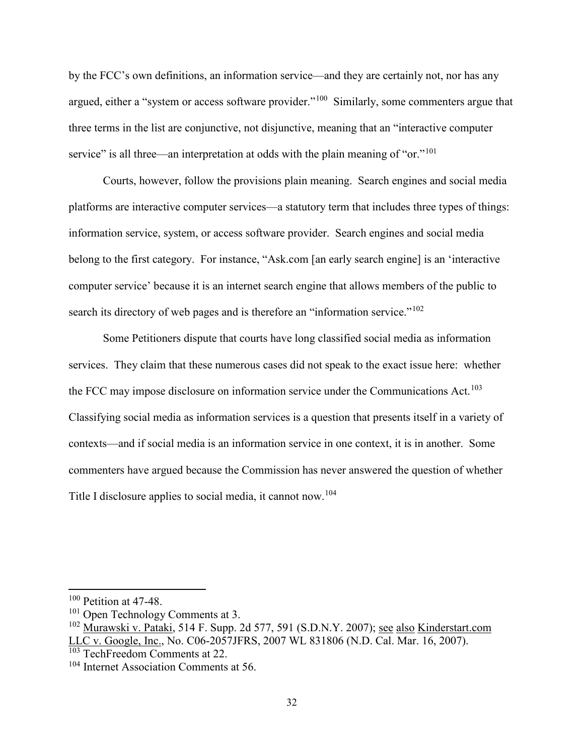by the FCC's own definitions, an information service—and they are certainly not, nor has any argued, either a "system or access software provider."<sup>100</sup> Similarly, some commenters argue that three terms in the list are conjunctive, not disjunctive, meaning that an "interactive computer service" is all three—an interpretation at odds with the plain meaning of "or."<sup>101</sup>

Courts, however, follow the provisions plain meaning. Search engines and social media platforms are interactive computer services—a statutory term that includes three types of things: information service, system, or access software provider. Search engines and social media belong to the first category. For instance, "Ask.com [an early search engine] is an 'interactive computer service' because it is an internet search engine that allows members of the public to search its directory of web pages and is therefore an "information service."<sup>102</sup>

Some Petitioners dispute that courts have long classified social media as information services. They claim that these numerous cases did not speak to the exact issue here: whether the FCC may impose disclosure on information service under the Communications Act.<sup>103</sup> Classifying social media as information services is a question that presents itself in a variety of contexts—and if social media is an information service in one context, it is in another. Some commenters have argued because the Commission has never answered the question of whether Title I disclosure applies to social media, it cannot now.104

<sup>&</sup>lt;sup>100</sup> Petition at 47-48.

<sup>&</sup>lt;sup>101</sup> Open Technology Comments at 3.

<sup>&</sup>lt;sup>102</sup> Murawski v. Pataki, 514 F. Supp. 2d 577, 591 (S.D.N.Y. 2007); <u>see also Kinderstart.com</u> LLC v. Google, Inc., No. C06-2057JFRS, 2007 WL 831806 (N.D. Cal. Mar. 16, 2007).

<sup>103</sup> TechFreedom Comments at 22.

<sup>&</sup>lt;sup>104</sup> Internet Association Comments at 56.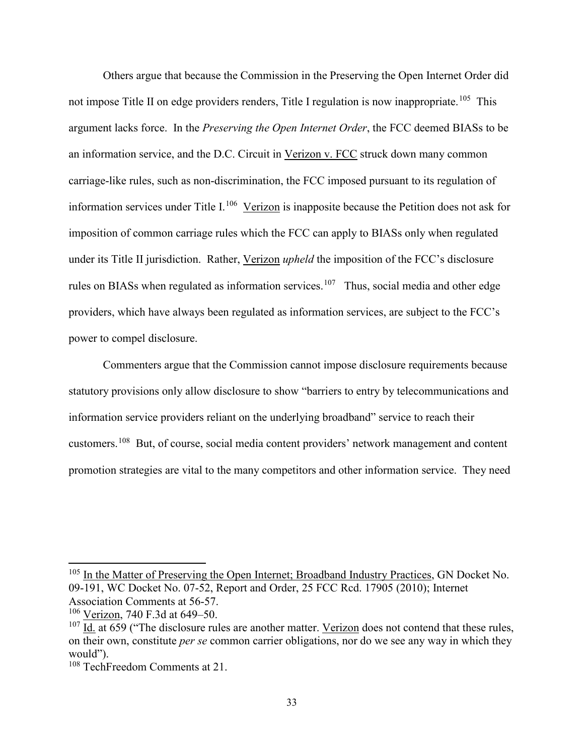Others argue that because the Commission in the Preserving the Open Internet Order did not impose Title II on edge providers renders, Title I regulation is now inappropriate.<sup>105</sup> This argument lacks force. In the *Preserving the Open Internet Order*, the FCC deemed BIASs to be an information service, and the D.C. Circuit in Verizon v. FCC struck down many common carriage-like rules, such as non-discrimination, the FCC imposed pursuant to its regulation of information services under Title I.<sup>106</sup> Verizon is inapposite because the Petition does not ask for imposition of common carriage rules which the FCC can apply to BIASs only when regulated under its Title II jurisdiction. Rather, Verizon *upheld* the imposition of the FCC's disclosure rules on BIASs when regulated as information services.<sup>107</sup> Thus, social media and other edge providers, which have always been regulated as information services, are subject to the FCC's power to compel disclosure.

Commenters argue that the Commission cannot impose disclosure requirements because statutory provisions only allow disclosure to show "barriers to entry by telecommunications and information service providers reliant on the underlying broadband" service to reach their customers.108 But, of course, social media content providers' network management and content promotion strategies are vital to the many competitors and other information service. They need

<sup>&</sup>lt;sup>105</sup> In the Matter of Preserving the Open Internet; Broadband Industry Practices, GN Docket No. 09-191, WC Docket No. 07-52, Report and Order, 25 FCC Rcd. 17905 (2010); Internet Association Comments at 56-57.

<sup>106</sup> Verizon, 740 F.3d at 649–50.

 $107$  Id. at 659 ("The disclosure rules are another matter. Verizon does not contend that these rules, on their own, constitute *per se* common carrier obligations, nor do we see any way in which they would").

<sup>108</sup> TechFreedom Comments at 21.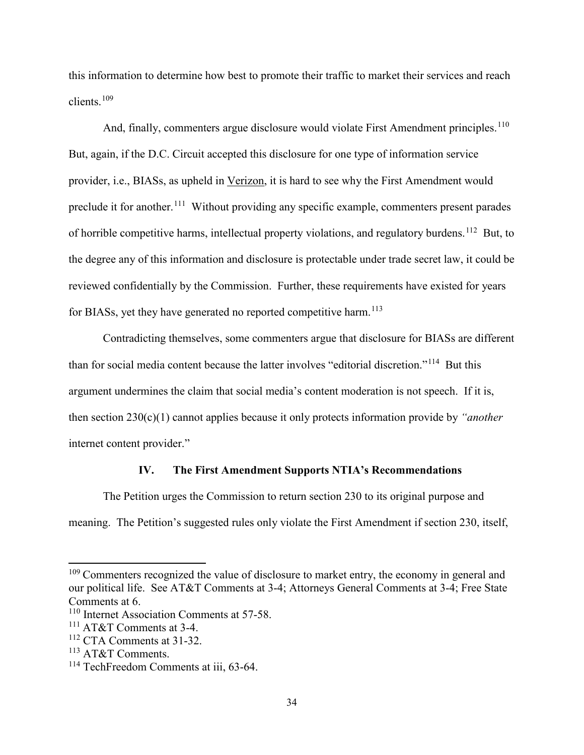this information to determine how best to promote their traffic to market their services and reach clients.109

And, finally, commenters argue disclosure would violate First Amendment principles.<sup>110</sup> But, again, if the D.C. Circuit accepted this disclosure for one type of information service provider, i.e., BIASs, as upheld in Verizon, it is hard to see why the First Amendment would preclude it for another.<sup>111</sup> Without providing any specific example, commenters present parades of horrible competitive harms, intellectual property violations, and regulatory burdens.112 But, to the degree any of this information and disclosure is protectable under trade secret law, it could be reviewed confidentially by the Commission. Further, these requirements have existed for years for BIASs, yet they have generated no reported competitive harm.  $^{113}$ 

Contradicting themselves, some commenters argue that disclosure for BIASs are different than for social media content because the latter involves "editorial discretion."114 But this argument undermines the claim that social media's content moderation is not speech. If it is, then section 230(c)(1) cannot applies because it only protects information provide by *"another*  internet content provider."

#### **IV. The First Amendment Supports NTIA's Recommendations**

The Petition urges the Commission to return section 230 to its original purpose and meaning. The Petition's suggested rules only violate the First Amendment if section 230, itself,

 $109$  Commenters recognized the value of disclosure to market entry, the economy in general and our political life. See AT&T Comments at 3-4; Attorneys General Comments at 3-4; Free State Comments at 6.

<sup>&</sup>lt;sup>110</sup> Internet Association Comments at 57-58.

<sup>111</sup> AT&T Comments at 3-4.

<sup>112</sup> CTA Comments at 31-32.

<sup>113</sup> AT&T Comments.

<sup>&</sup>lt;sup>114</sup> TechFreedom Comments at iii, 63-64.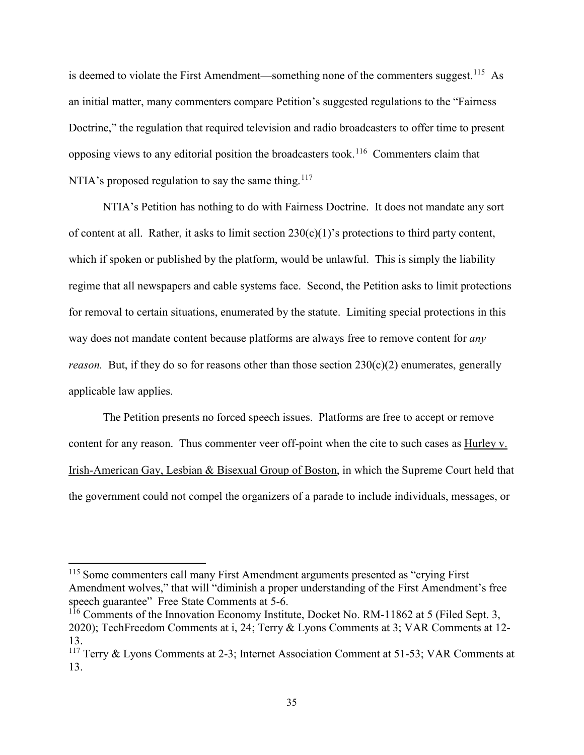is deemed to violate the First Amendment—something none of the commenters suggest.<sup>115</sup> As an initial matter, many commenters compare Petition's suggested regulations to the "Fairness Doctrine," the regulation that required television and radio broadcasters to offer time to present opposing views to any editorial position the broadcasters took.116 Commenters claim that NTIA's proposed regulation to say the same thing.<sup>117</sup>

NTIA's Petition has nothing to do with Fairness Doctrine. It does not mandate any sort of content at all. Rather, it asks to limit section  $230(c)(1)$ 's protections to third party content, which if spoken or published by the platform, would be unlawful. This is simply the liability regime that all newspapers and cable systems face. Second, the Petition asks to limit protections for removal to certain situations, enumerated by the statute. Limiting special protections in this way does not mandate content because platforms are always free to remove content for *any reason.* But, if they do so for reasons other than those section 230(c)(2) enumerates, generally applicable law applies.

The Petition presents no forced speech issues. Platforms are free to accept or remove content for any reason. Thus commenter veer off-point when the cite to such cases as Hurley v. Irish-American Gay, Lesbian & Bisexual Group of Boston, in which the Supreme Court held that the government could not compel the organizers of a parade to include individuals, messages, or

<sup>&</sup>lt;sup>115</sup> Some commenters call many First Amendment arguments presented as "crying First" Amendment wolves," that will "diminish a proper understanding of the First Amendment's free speech guarantee" Free State Comments at 5-6.

<sup>&</sup>lt;sup>116</sup> Comments of the Innovation Economy Institute, Docket No. RM-11862 at 5 (Filed Sept. 3, 2020); TechFreedom Comments at i, 24; Terry & Lyons Comments at 3; VAR Comments at 12- 13.

<sup>&</sup>lt;sup>117</sup> Terry & Lyons Comments at 2-3; Internet Association Comment at 51-53; VAR Comments at 13.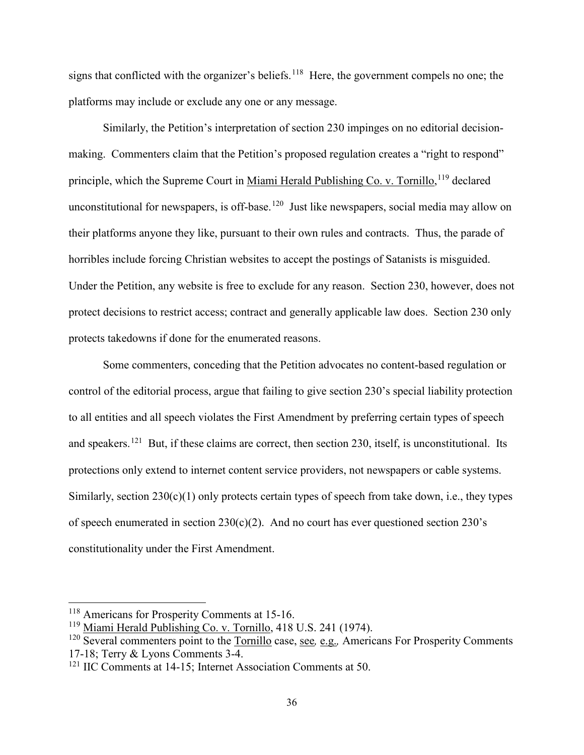signs that conflicted with the organizer's beliefs.<sup>118</sup> Here, the government compels no one; the platforms may include or exclude any one or any message.

Similarly, the Petition's interpretation of section 230 impinges on no editorial decisionmaking. Commenters claim that the Petition's proposed regulation creates a "right to respond" principle, which the Supreme Court in Miami Herald Publishing Co. v. Tornillo, <sup>119</sup> declared unconstitutional for newspapers, is off-base.<sup>120</sup> Just like newspapers, social media may allow on their platforms anyone they like, pursuant to their own rules and contracts. Thus, the parade of horribles include forcing Christian websites to accept the postings of Satanists is misguided. Under the Petition, any website is free to exclude for any reason. Section 230, however, does not protect decisions to restrict access; contract and generally applicable law does. Section 230 only protects takedowns if done for the enumerated reasons.

Some commenters, conceding that the Petition advocates no content-based regulation or control of the editorial process, argue that failing to give section 230's special liability protection to all entities and all speech violates the First Amendment by preferring certain types of speech and speakers.<sup>121</sup> But, if these claims are correct, then section 230, itself, is unconstitutional. Its protections only extend to internet content service providers, not newspapers or cable systems. Similarly, section  $230(c)(1)$  only protects certain types of speech from take down, i.e., they types of speech enumerated in section  $230(c)(2)$ . And no court has ever questioned section  $230's$ constitutionality under the First Amendment.

<sup>118</sup> Americans for Prosperity Comments at 15-16.

<sup>119</sup> Miami Herald Publishing Co. v. Tornillo, 418 U.S. 241 (1974).

<sup>120</sup> Several commenters point to the Tornillo case, see*,* e.g.*,* Americans For Prosperity Comments 17-18; Terry & Lyons Comments 3-4.

<sup>&</sup>lt;sup>121</sup> IIC Comments at 14-15; Internet Association Comments at 50.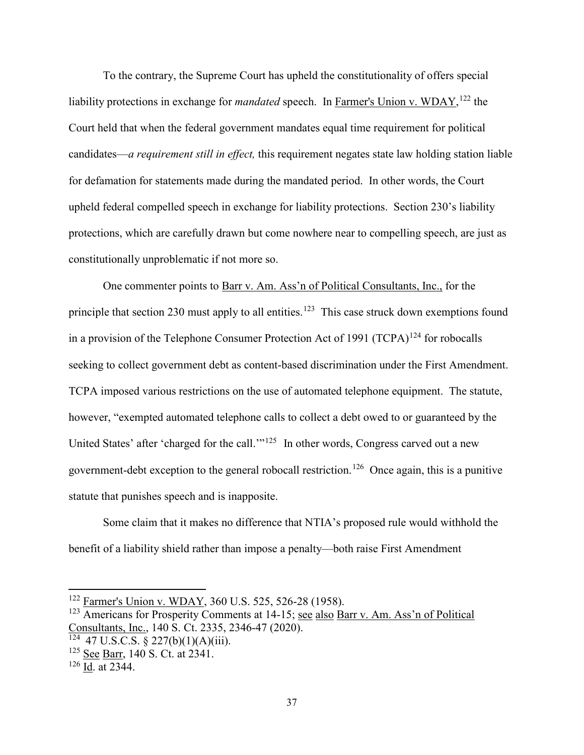To the contrary, the Supreme Court has upheld the constitutionality of offers special liability protections in exchange for *mandated* speech. In **Farmer's Union v. WDAY**,<sup>122</sup> the Court held that when the federal government mandates equal time requirement for political candidates—*a requirement still in effect,* this requirement negates state law holding station liable for defamation for statements made during the mandated period. In other words, the Court upheld federal compelled speech in exchange for liability protections. Section 230's liability protections, which are carefully drawn but come nowhere near to compelling speech, are just as constitutionally unproblematic if not more so.

One commenter points to Barr v. Am. Ass'n of Political Consultants, Inc., for the principle that section 230 must apply to all entities.<sup>123</sup> This case struck down exemptions found in a provision of the Telephone Consumer Protection Act of 1991  $(TCPA)^{124}$  for robocalls seeking to collect government debt as content-based discrimination under the First Amendment. TCPA imposed various restrictions on the use of automated telephone equipment. The statute, however, "exempted automated telephone calls to collect a debt owed to or guaranteed by the United States' after 'charged for the call.'"<sup>125</sup> In other words, Congress carved out a new government-debt exception to the general robocall restriction.126 Once again, this is a punitive statute that punishes speech and is inapposite.

Some claim that it makes no difference that NTIA's proposed rule would withhold the benefit of a liability shield rather than impose a penalty—both raise First Amendment

<sup>&</sup>lt;sup>122</sup> Farmer's Union v. WDAY, 360 U.S. 525, 526-28 (1958).

<sup>123</sup> Americans for Prosperity Comments at 14-15; see also Barr v. Am. Ass'n of Political Consultants, Inc., 140 S. Ct. 2335, 2346-47 (2020).

 $124$  47 U.S.C.S. § 227(b)(1)(A)(iii).

<sup>&</sup>lt;sup>125</sup> See Barr, 140 S. Ct. at 2341.

 $126 \overline{Id}$ . at 2344.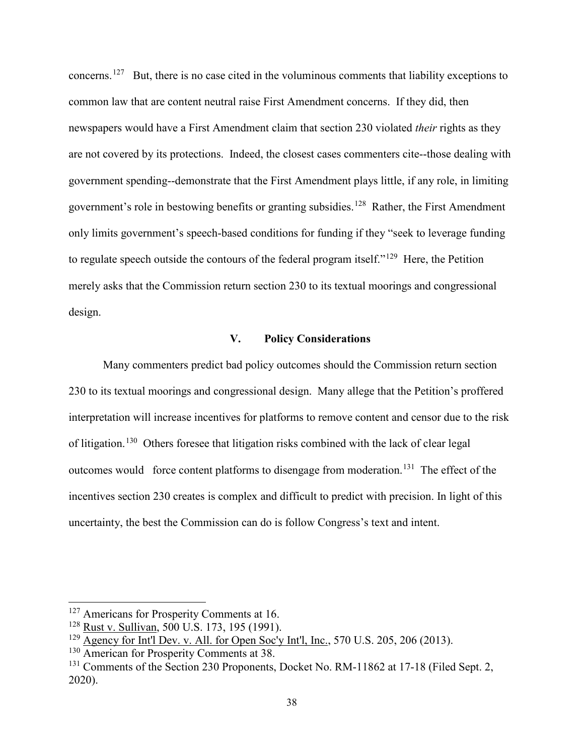concerns.127 But, there is no case cited in the voluminous comments that liability exceptions to common law that are content neutral raise First Amendment concerns. If they did, then newspapers would have a First Amendment claim that section 230 violated *their* rights as they are not covered by its protections. Indeed, the closest cases commenters cite--those dealing with government spending--demonstrate that the First Amendment plays little, if any role, in limiting government's role in bestowing benefits or granting subsidies.<sup>128</sup> Rather, the First Amendment only limits government's speech-based conditions for funding if they "seek to leverage funding to regulate speech outside the contours of the federal program itself."<sup>129</sup> Here, the Petition merely asks that the Commission return section 230 to its textual moorings and congressional design.

#### **V. Policy Considerations**

Many commenters predict bad policy outcomes should the Commission return section 230 to its textual moorings and congressional design. Many allege that the Petition's proffered interpretation will increase incentives for platforms to remove content and censor due to the risk of litigation.130 Others foresee that litigation risks combined with the lack of clear legal outcomes would force content platforms to disengage from moderation.<sup>131</sup> The effect of the incentives section 230 creates is complex and difficult to predict with precision. In light of this uncertainty, the best the Commission can do is follow Congress's text and intent.

<sup>&</sup>lt;sup>127</sup> Americans for Prosperity Comments at 16.

<sup>128</sup> Rust v. Sullivan, 500 U.S. 173, 195 (1991).

 $129$  Agency for Int'l Dev. v. All. for Open Soc'y Int'l, Inc., 570 U.S. 205, 206 (2013).

<sup>&</sup>lt;sup>130</sup> American for Prosperity Comments at 38.

<sup>&</sup>lt;sup>131</sup> Comments of the Section 230 Proponents, Docket No. RM-11862 at 17-18 (Filed Sept. 2, 2020).